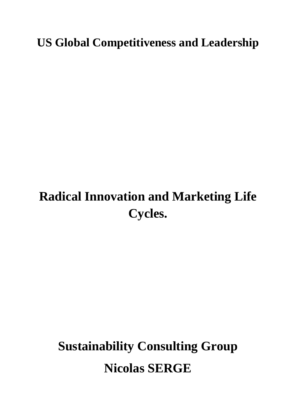**US Global Competitiveness and Leadership**

## **Radical Innovation and Marketing Life Cycles.**

# **Sustainability Consulting Group Nicolas SERGE**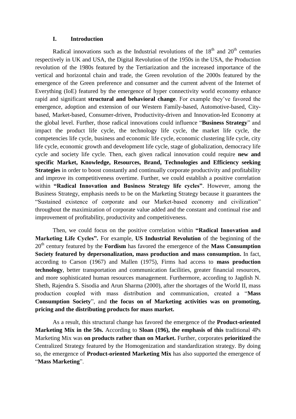#### **I. Introduction**

Radical innovations such as the Industrial revolutions of the  $18<sup>th</sup>$  and  $20<sup>th</sup>$  centuries respectively in UK and USA, the Digital Revolution of the 1950s in the USA, the Production revolution of the 1980s featured by the Tertiarization and the increased importance of the vertical and horizontal chain and trade, the Green revolution of the 2000s featured by the emergence of the Green preference and consumer and the current advent of the Internet of Everything (IoE) featured by the emergence of hyper connectivity world economy enhance rapid and significant **structural and behavioral change**. For example they"ve favored the emergence, adoption and extension of our Western Family-based, Automotive-based, Citybased, Market-based, Consumer-driven, Productivity-driven and Innovation-led Economy at the global level. Further, those radical innovations could influence "**Business Strategy**" and impact the product life cycle, the technology life cycle, the market life cycle, the competencies life cycle, business and economic life cycle, economic clustering life cycle, city life cycle, economic growth and development life cycle, stage of globalization, democracy life cycle and society life cycle. Then, each given radical innovation could require **new and specific Market, Knowledge, Resources, Brand, Technologies and Efficiency seeking Strategies** in order to boost constantly and continually corporate productivity and profitability and improve its competitiveness overtime. Further, we could establish a positive correlation within **"Radical Innovation and Business Strategy life cycles"**. However, among the Business Strategy, emphasis needs to be on the Marketing Strategy because it guarantees the "Sustained existence of corporate and our Market-based economy and civilization" throughout the maximization of corporate value added and the constant and continual rise and improvement of profitability, productivity and competitiveness.

Then, we could focus on the positive correlation within **"Radical Innovation and Marketing Life Cycles".** For example, **US Industrial Revolution** of the beginning of the 20th century featured by the **Fordism** has favored the emergence of the **Mass Consumption Society featured by depersonalization, mass production and mass consumption.** In fact, according to Carson (1967) and Mallen (1975), Firms had access to **mass production technology**, better transportation and communication facilities, greater financial resources, and more sophisticated human resources management. Furthermore, according to Jagdish N. Sheth, Rajendra S. Sisodia and Arun Sharma (2000), after the shortages of the World II, mass production coupled with mass distribution and communication, created a "**Mass Consumption Society**", and **the focus on of Marketing activities was on promoting, pricing and the distributing products for mass market.** 

As a result, this structural change has favored the emergence of the **Product-oriented Marketing Mix in the 50s.** According to **Sloan (196), the emphasis of this** traditional 4Ps Marketing Mix was **on products rather than on Market.** Further, corporates **prioritized** the Centralized Strategy featured by the Homogenization and standardization strategy. By doing so, the emergence of **Product-oriented Marketing Mix** has also supported the emergence of "**Mass Marketing**".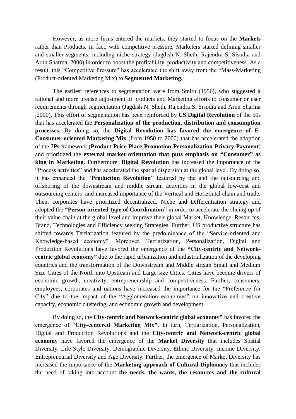However, as more firms entered the markets, they started to focus on the **Markets** rather than Products. In fact, with competitive pressure, Marketers started defining smaller and smaller segments, including niche strategy (Jagdish N. Sheth, Rajendra S. Sisodia and Arun Sharma, 2000) in order to boost the profitability, productivity and competitiveness. As a result, this "Competitive Pressure" has accelerated the shift away from the "Mass-Marketing (Product-oriented Marketing Mix) to **Segmented Marketing.** 

The earliest references to segmentation were from Smith (1956), who suggested a rational and more precise adjustment of products and Marketing efforts to consumer or user requirements through segmentation (Jagdish N. Sheth, Rajendra S. Sisodia and Arun Sharma ,2000). This effort of segmentation has been reinforced by **US Digital Revolution** of the 50s that has accelerated the **Personalization of the production, distribution and consumption processes.** By doing so, the **Digital Revolution has favored the emergence of E**-**Consumer-oriented Marketing Mix** (from 1950 to 2000) that has accelerated the adoption of the **7Ps** framework (**Product-Price-Place-Promotion-Personalization-Privacy-Payment**) and prioritized the **external market orientation that puts emphasis on "Consumer" as king in Marketing**. Furthermore, **Digital Revolution** has increased the importance of the "Process activities" and has accelerated the spatial dispersion at the global level. By doing so, it has enhanced the "**Production Revolution**" featured by the and the outsourcing and offshoring of the downstream and middle stream activities in the global low-cost and outsourcing centers and increased importance of the Vertical and Horizontal chain and trade. Then, corporates have prioritized decentralized, Niche and Differentiation strategy and adopted the **"Person-oriented type of Coordination**" in order to accelerate the slicing up of their value chain at the global level and improve their global Market, Knowledge, Resources, Brand, Technologies and Efficiency seeking Strategies. Further, US productive structure has shifted towards Tertiarization featured by the predominance of the "Service-oriented and Knowledge-based economy". Moreover, Tertiarization, Personalization, Digital and Production Revolutions have favored the emergence of the **"City-centric and Networkcentric global economy"** due to the rapid urbanization and industrialization of the developing countries and the transformation of the Downstream and Middle stream Small and Medium Size Cities of the North into Upstream and Large-size Cities. Cities have become drivers of economic growth, creativity, entrepreneurship and competitiveness. Further, consumers, employees, corporates and nations have increased the importance for the "Preference for City" due to the impact of the "Agglomeration economies" on innovative and creative capacity, economic clustering, and economic growth and development.

By doing so, the **City-centric and Network-centric global economy"** has favored the emergence of "**City-centered Marketing Mix".** In turn, Tertiarization, Personalization, Digital and Production Revolutions and the **City-centric and Network-centric global economy** have favored the emergence of the **Market Diversity** that includes Spatial Diversity, Life Style Diversity, Demographic Diversity, Ethnic Diversity, Income Diversity, Entrepreneurial Diversity and Age Diversity. Further, the emergence of Market Diversity has increased the importance of the **Marketing approach of Cultural Diplomacy** that includes the need of taking into account **the needs, the wants, the resources and the cultural**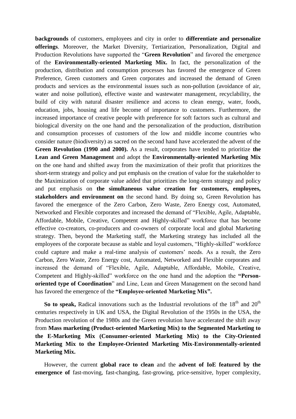**backgrounds** of customers, employees and city in order to **differentiate and personalize offerings**. Moreover, the Market Diversity, Tertiarization, Personalization, Digital and Production Revolutions have supported the "**Green Revolution**" and favored the emergence of the **Environmentally-oriented Marketing Mix.** In fact, the personalization of the production, distribution and consumption processes has favored the emergence of Green Preference, Green customers and Green corporates and increased the demand of Green products and services as the environmental issues such as non-pollution (avoidance of air, water and noise pollution), effective waste and wastewater management, recyclability, the build of city with natural disaster resilience and access to clean energy, water, foods, education, jobs, housing and life become of importance to customers. Furthermore, the increased importance of creative people with preference for soft factors such as cultural and biological diversity on the one hand and the personalization of the production, distribution and consumption processes of customers of the low and middle income countries who consider nature (biodiversity) as sacred on the second hand have accelerated the advent of the **Green Revolution (1990 and 2000).** As a result, corporates have tended to prioritize **the Lean and Green Management** and adopt the **Environmentally-oriented Marketing Mix**  on the one hand and shifted away from the maximization of their profit that prioritizes the short-term strategy and policy and put emphasis on the creation of value for the stakeholder to the Maximization of corporate value added that prioritizes the long-term strategy and policy and put emphasis on **the simultaneous value creation for customers, employees, stakeholders and environment on** the second hand. By doing so, Green Revolution has favored the emergence of the Zero Carbon, Zero Waste, Zero Energy cost, Automated, Networked and Flexible corporates and increased the demand of "Flexible, Agile, Adaptable, Affordable, Mobile, Creative, Competent and Highly-skilled" workforce that has become effective co-creators, co-producers and co-owners of corporate local and global Marketing strategy. Then, beyond the Marketing staff, the Marketing strategy has included all the employees of the corporate because as stable and loyal customers, "Highly-skilled" workforce could capture and make a real-time analysis of customers' needs. As a result, the Zero Carbon, Zero Waste, Zero Energy cost, Automated, Networked and Flexible corporates and increased the demand of "Flexible, Agile, Adaptable, Affordable, Mobile, Creative, Competent and Highly-skilled" workforce on the one hand and the adoption the **"Personoriented type of Coordination**" and Line, Lean and Green Management on the second hand has favored the emergence of the **"Employee-oriented Marketing Mix".** 

**So to speak,** Radical innovations such as the Industrial revolutions of the  $18<sup>th</sup>$  and  $20<sup>th</sup>$ centuries respectively in UK and USA, the Digital Revolution of the 1950s in the USA, the Production revolution of the 1980s and the Green revolution have accelerated the shift away from **Mass marketing (Product-oriented Marketing Mix) to the Segmented Marketing to the E-Marketing Mix (Consumer-oriented Marketing Mix) to the City-Oriented Marketing Mix to the Employee-Oriented Marketing Mix-Environmentally-oriented Marketing Mix.** 

However, the current **global race to clean** and the **advent of IoE featured by the emergence of** fast-moving, fast-changing, fast-growing, price-sensitive, hyper complexity,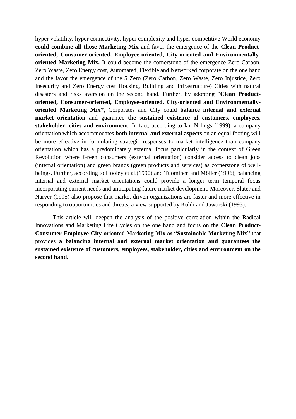hyper volatility, hyper connectivity, hyper complexity and hyper competitive World economy **could combine all those Marketing Mix** and favor the emergence of the **Clean Productoriented, Consumer-oriented, Employee-oriented, City-oriented and Environmentallyoriented Marketing Mix.** It could become the cornerstone of the emergence Zero Carbon, Zero Waste, Zero Energy cost, Automated, Flexible and Networked corporate on the one hand and the favor the emergence of the 5 Zero (Zero Carbon, Zero Waste, Zero Injustice, Zero Insecurity and Zero Energy cost Housing, Building and Infrastructure) Cities with natural disasters and risks aversion on the second hand. Further, by adopting "**Clean Productoriented, Consumer-oriented, Employee-oriented, City-oriented and Environmentallyoriented Marketing Mix",** Corporates and City could **balance internal and external market orientation** and guarantee **the sustained existence of customers, employees, stakeholder, cities and environment**. In fact, according to Ian N lings (1999), a company orientation which accommodates **both internal and external aspects** on an equal footing will be more effective in formulating strategic responses to market intelligence than company orientation which has a predominately external focus particularly in the context of Green Revolution where Green consumers (external orientation) consider access to clean jobs (internal orientation) and green brands (green products and services) as cornerstone of wellbeings. Further, according to Hooley et al.(1990) and Tuominen and Möller (1996), balancing internal and external market orientations could provide a longer term temporal focus incorporating current needs and anticipating future market development. Moreover, Slater and Narver (1995) also propose that market driven organizations are faster and more effective in responding to opportunities and threats, a view supported by Kohli and Jaworski (1993).

This article will deepen the analysis of the positive correlation within the Radical Innovations and Marketing Life Cycles on the one hand and focus on the **Clean Product-Consumer-Employee-City-oriented Marketing Mix as "Sustainable Marketing Mix"** that provides **a balancing internal and external market orientation and guarantees the sustained existence of customers, employees, stakeholder, cities and environment on the second hand.**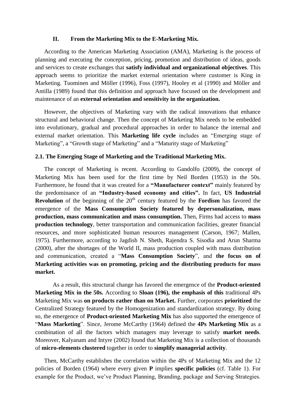#### **II. From the Marketing Mix to the E-Marketing Mix.**

According to the American Marketing Association (AMA), Marketing is the process of planning and executing the conception, pricing, promotion and distribution of ideas, goods and services to create exchanges that **satisfy individual and organizational objectives**. This approach seems to prioritize the market external orientation where customer is King in Marketing. Tuominen and Möller (1996), Foss (1997), Hooley et al (1990) and Möller and Antilla (1989) found that this definition and approach have focused on the development and maintenance of an **external orientation and sensitivity in the organization.** 

However, the objectives of Marketing vary with the radical innovations that enhance structural and behavioral change. Then the concept of Marketing Mix needs to be embedded into evolutionary, gradual and procedural approaches in order to balance the internal and external market orientation. This **Marketing life cycle** includes an "Emerging stage of Marketing", a "Growth stage of Marketing" and a "Maturity stage of Marketing"

#### **2.1. The Emerging Stage of Marketing and the Traditional Marketing Mix.**

The concept of Marketing is recent. According to Gandolfo (2009), the concept of Marketing Mix has been used for the first time by Neil Borden (1953) in the 50s. Furthermore, he found that it was created for a **"Manufacturer context"** mainly featured by the predominance of an **"Industry-based economy and cities".** In fact, **US Industrial Revolution** of the beginning of the 20<sup>th</sup> century featured by the **Fordism** has favored the emergence of the **Mass Consumption Society featured by depersonalization, mass production, mass communication and mass consumption.** Then, Firms had access to **mass production technology**, better transportation and communication facilities, greater financial resources, and more sophisticated human resources management (Carson, 1967; Mallen, 1975). Furthermore, according to Jagdish N. Sheth, Rajendra S. Sisodia and Arun Sharma (2000), after the shortages of the World II, mass production coupled with mass distribution and communication, created a "**Mass Consumption Society**", and **the focus on of Marketing activities was on promoting, pricing and the distributing products for mass market.** 

As a result, this structural change has favored the emergence of the **Product-oriented Marketing Mix in the 50s.** According to **Sloan (196), the emphasis of this** traditional 4Ps Marketing Mix was **on products rather than on Market.** Further, corporates **prioritized** the Centralized Strategy featured by the Homogenization and standardization strategy. By doing so, the emergence of **Product-oriented Marketing Mix** has also supported the emergence of "**Mass Marketing**". Since, Jerome McCarthy (1964) defined the **4Ps Marketing Mix** as a combination of all the factors which managers may leverage to satisfy **market needs**. Moreover, Kalyanam and Intyre (2002) found that Marketing Mix is a collection of thousands of **micro-elements clustered** together in order to **simplify managerial activity**.

Then, McCarthy establishes the correlation within the 4Ps of Marketing Mix and the 12 policies of Borden (1964) where every given **P** implies **specific policies** (cf. Table 1). For example for the Product, we"ve Product Planning, Branding, package and Serving Strategies.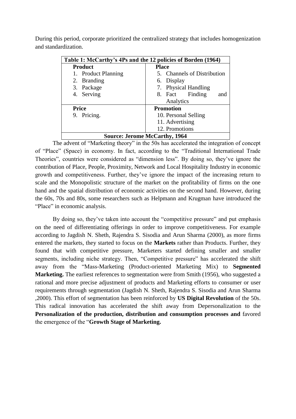During this period, corporate prioritized the centralized strategy that includes homogenization and standardization.

| Table 1: McCarthy's 4Ps and the 12 policies of Borden (1964) |                             |  |  |  |  |
|--------------------------------------------------------------|-----------------------------|--|--|--|--|
| <b>Product</b><br><b>Place</b>                               |                             |  |  |  |  |
| 1. Product Planning                                          | 5. Channels of Distribution |  |  |  |  |
| 2. Branding                                                  | 6. Display                  |  |  |  |  |
| 3. Package                                                   | 7. Physical Handling        |  |  |  |  |
| 4. Serving                                                   | 8. Fact Finding<br>and      |  |  |  |  |
|                                                              | Analytics                   |  |  |  |  |
| <b>Price</b>                                                 | <b>Promotion</b>            |  |  |  |  |
| 9. Pricing.                                                  | 10. Personal Selling        |  |  |  |  |
|                                                              | 11. Advertising             |  |  |  |  |
|                                                              | 12. Promotions              |  |  |  |  |
| <b>Source: Jerome McCarthy, 1964</b>                         |                             |  |  |  |  |

The advent of "Marketing theory" in the 50s has accelerated the integration of concept of "Place" (Space) in economy. In fact, according to the "Traditional International Trade Theories", countries were considered as "dimension less". By doing so, they"ve ignore the contribution of Place, People, Proximity, Network and Local Hospitality Industry in economic growth and competitiveness. Further, they"ve ignore the impact of the increasing return to scale and the Monopolistic structure of the market on the profitability of firms on the one hand and the spatial distribution of economic activities on the second hand. However, during the 60s, 70s and 80s, some researchers such as Helpmann and Krugman have introduced the "Place" in economic analysis.

By doing so, they've taken into account the "competitive pressure" and put emphasis on the need of differentiating offerings in order to improve competitiveness. For example according to Jagdish N. Sheth, Rajendra S. Sisodia and Arun Sharma (2000), as more firms entered the markets, they started to focus on the **Markets** rather than Products. Further, they found that with competitive pressure, Marketers started defining smaller and smaller segments, including niche strategy. Then, "Competitive pressure" has accelerated the shift away from the "Mass-Marketing (Product-oriented Marketing Mix) to **Segmented Marketing.** The earliest references to segmentation were from Smith (1956), who suggested a rational and more precise adjustment of products and Marketing efforts to consumer or user requirements through segmentation (Jagdish N. Sheth, Rajendra S. Sisodia and Arun Sharma ,2000). This effort of segmentation has been reinforced by **US Digital Revolution** of the 50s. This radical innovation has accelerated the shift away from Depersonalization to the **Personalization of the production, distribution and consumption processes and** favored the emergence of the "**Growth Stage of Marketing.**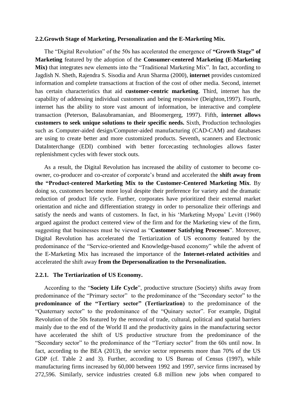#### **2.2.Growth Stage of Marketing, Personalization and the E-Marketing Mix.**

The "Digital Revolution" of the 50s has accelerated the emergence of **"Growth Stage" of Marketing** featured by the adoption of the **Consumer-centered Marketing (E-Marketing Mix)** that integrates new elements into the "Traditional Marketing Mix". In fact, according to Jagdish N. Sheth, Rajendra S. Sisodia and Arun Sharma (2000), **internet** provides customized information and complete transactions at fraction of the cost of other media. Second, internet has certain characteristics that aid **customer-centric marketing**. Third, internet has the capability of addressing individual customers and being responsive (Deighton,1997). Fourth, internet has the ability to store vast amount of information, be interactive and complete transaction (Peterson, Balasubramanian, and Bloomergerg, 1997). Fifth, **internet allows customers to seek unique solutions to their specific needs.** Sixth, Production technologies such as Computer-aided design/Computer-aided manufacturing (CAD-CAM) and databases are using to create better and more customized products. Seventh, scanners and Electronic DataInterchange (EDI) combined with better forcecasting technologies allows faster replenishment cycles with fewer stock outs.

As a result, the Digital Revolution has increased the ability of customer to become coowner, co-producer and co-creator of corporate's brand and accelerated the **shift away from the "Product-centered Marketing Mix to the Customer-Centered Marketing Mix**. By doing so, customers become more loyal despite their preference for variety and the dramatic reduction of product life cycle. Further, corporates have prioritized their external market orientation and niche and differentiation strategy in order to personalize their offerings and satisfy the needs and wants of customers. In fact, in his "Marketing Myopa" Levitt (1960) argued against the product centered view of the firm and for the Marketing view of the firm, suggesting that businesses must be viewed as "**Customer Satisfying Processes**". Moreover, Digital Revolution has accelerated the Tertiarization of US economy featured by the predominance of the "Service-oriented and Knowledge-based economy" while the advent of the E-Marketing Mix has increased the importance of the **Internet-related activities** and accelerated the shift away **from the Depersonalization to the Personalization.** 

#### **2.2.1. The Tertiarization of US Economy.**

According to the "**Society Life Cycle**", productive structure (Society) shifts away from predominance of the "Primary sector" to the predominance of the "Secondary sector" to the **predominance of the "Tertiary sector" (Tertiarization)** to the predominance of the "Quaternary sector" to the predominance of the "Quinary sector". For example, Digital Revolution of the 50s featured by the removal of trade, cultural, political and spatial barriers mainly due to the end of the World II and the productivity gains in the manufacturing sector have accelerated the shift of US productive structure from the predominance of the "Secondary sector" to the predominance of the "Tertiary sector" from the 60s until now. In fact, according to the BEA (2013), the service sector represents more than 70% of the US GDP (cf. Table 2 and 3). Further, according to US Bureau of Census (1997), while manufacturing firms increased by 60,000 between 1992 and 1997, service firms increased by 272,596. Similarly, service industries created 6.8 million new jobs when compared to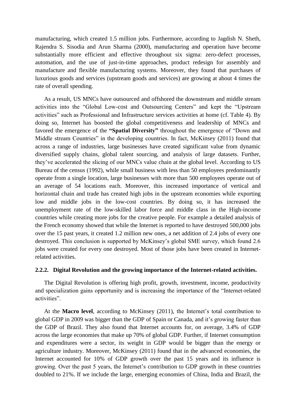manufacturing, which created 1.5 million jobs. Furthermore, according to Jagdish N. Sheth, Rajendra S. Sisodia and Arun Sharma (2000), manufacturing and operation have become substantially more efficient and effective throughout six sigma: zero-defect processes, automation, and the use of just-in-time approaches, product redesign for assembly and manufacture and flexible manufacturing systems. Moreover, they found that purchases of luxurious goods and services (upstream goods and services) are growing at about 4 times the rate of overall spending.

As a result, US MNCs have outsourced and offshored the downstream and middle stream activities into the "Global Low-cost and Outsourcing Centers" and kept the "Upstream activities" such as Professional and Infrastructure services activities at home (cf. Table 4). By doing so, Internet has boosted the global competitiveness and leadership of MNCs and favored the emergence of the **"Spatial Diversity"** throughout the emergence of "Down and Middle stream Countries" in the developing countries. In fact, McKinsey (2011) found that across a range of industries, large businesses have created significant value from dynamic diversified supply chains, global talent sourcing, and analysis of large datasets. Further, they"ve accelerated the slicing of our MNCs value chain at the global level. According to US Bureau of the census (1992), while small business with less than 50 employees predominantly operate from a single location, large businesses with more than 500 employees operate out of an average of 54 locations each. Moreover, this increased importance of vertical and horizontal chain and trade has created high jobs in the upstream economies while exporting low and middle jobs in the low-cost countries. By doing so, it has increased the unemployment rate of the low-skilled labor force and middle class in the High-income countries while creating more jobs for the creative people. For example a detailed analysis of the French economy showed that while the Internet is reported to have destroyed 500,000 jobs over the 15 past years, it created 1.2 million new ones, a net addition of 2.4 jobs of every one destroyed. This conclusion is supported by McKinsey's global SME survey, which found 2.6 jobs were created for every one destroyed. Most of those jobs have been created in Internetrelated activities.

#### **2.2.2. Digital Revolution and the growing importance of the Internet-related activities.**

The Digital Revolution is offering high profit, growth, investment, income, productivity and specialization gains opportunity and is increasing the importance of the "Internet-related activities".

At the **Macro level**, according to McKinsey (2011), the Internet's total contribution to global GDP in 2009 was bigger than the GDP of Spain or Canada, and it's growing faster than the GDP of Brazil. They also found that Internet accounts for, on average, 3.4% of GDP across the large economies that make up 70% of global GDP. Further, if Internet consumption and expenditures were a sector, its weight in GDP would be bigger than the energy or agriculture industry. Moreover, McKinsey (2011) found that in the advanced economies, the Internet accounted for 10% of GDP growth over the past 15 years and its influence is growing. Over the past 5 years, the Internet's contribution to GDP growth in these countries doubled to 21%. If we include the large, emerging economies of China, India and Brazil, the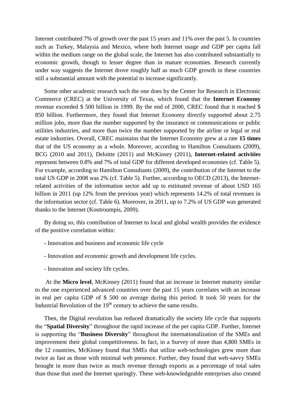Internet contributed 7% of growth over the past 15 years and 11% over the past 5. In countries such as Turkey, Malaysia and Mexico, where both Internet usage and GDP per capita fall within the medium range on the global scale, the Internet has also contributed substantially to economic growth, though to lesser degree than in mature economies. Research currently under way suggests the Internet drove roughly half as much GDP growth in these countries still a substantial amount with the potential to increase significantly.

Some other academic research such the one does by the Center for Research in Electronic Commerce (CREC) at the University of Texas, which found that the **Internet Economy** revenue exceeded \$ 500 billion in 1999. By the end of 2000, CREC found that it reached \$ 850 billion. Furthermore, they found that Internet Economy directly supported about 2.75 million jobs, more than the number supported by the insurance or communications or public utilities industries, and more than twice the number supported by the airline or legal or real estate industries. Overall, CREC maintains that the Internet Economy grew at a rate **15 times** that of the US economy as a whole. Moreover, according to Hamilton Consultants (2009), BCG (2010 and 2011), Deloitte (2011) and McKinsey (2011), **Internet-related activities** represent between 0.8% and 7% of total GDP for different developed economies (cf. Table 5). For example, according to Hamilton Consultants (2009), the contribution of the Internet to the total US GDP in 2008 was 2% (cf. Table 5). Further, according to OECD (2013), the Internetrelated activities of the information sector add up to estimated revenue of about USD 165 billion in 2011 (up 12% from the previous year) which represents 14.2% of total revenues in the information sector (cf. Table 6). Moreover, in 2011, up to 7.2% of US GDP was generated thanks to the Internet (Koutroumpis, 2009).

By doing so, this contribution of Internet to local and global wealth provides the evidence of the positive correlation within:

- Innovation and business and economic life cycle
- Innovation and economic growth and development life cycles.
- Innovation and society life cycles.

At the **Micro level**, McKinsey (2011) found that an increase in Internet maturity similar to the one experienced advanced countries over the past 15 years correlates with an increase in real per capita GDP of \$ 500 on average during this period. It took 50 years for the Industrial Revolution of the  $19<sup>th</sup>$  century to achieve the same results.

Then, the Digital revolution has reduced dramatically the society life cycle that supports the "**Spatial Diversity**" throughout the rapid increase of the per capita GDP. Further, Internet is supporting the "**Business Diversity**" throughout the internationalization of the SMEs and improvement their global competitiveness. In fact, in a Survey of more than 4,800 SMEs in the 12 countries, McKinsey found that SMEs that utilize web-technologies grew more than twice as fast as those with minimal web presence. Further, they found that web-savvy SMEs brought in more than twice as much revenue through exports as a percentage of total sales than those that used the Internet sparingly. These web-knowledgeable enterprises also created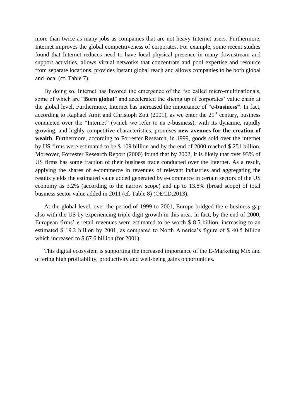more than twice as many jobs as companies that are not heavy Internet users. Furthermore, Internet improves the global competitiveness of corporates. For example, some recent studies found that Internet reduces need to have local physical presence in many downstream and support activities, allows virtual networks that concentrate and pool expertise and resource from separate locations, provides instant global reach and allows companies to be both global and local (cf. Table 7).

By doing so, Internet has favored the emergence of the "so called micro-multinationals, some of which are "**Born global**" and accelerated the slicing up of corporates' value chain at the global level. Furthermore, Internet has increased the importance of "**e-business"**. In fact, according to Raphael Amit and Christoph Zott  $(2001)$ , as we enter the  $21<sup>st</sup>$  century, business conducted over the "Internet" (which we refer to as e-business), with its dynamic, rapidly growing, and highly competitive characteristics, promises **new avenues for the creation of wealth**. Furthermore, according to Forrester Research, in 1999, goods sold over the internet by US firms were estimated to be \$ 109 billion and by the end of 2000 reached \$ 251 billion. Moreover, Forrester Research Report (2000) found that by 2002, it is likely that over 93% of US firms has some fraction of their business trade conducted over the Internet. As a result, applying the shares of e-commerce in revenues of relevant industries and aggregating the results yields the estimated value added generated by e-commerce in certain sectors of the US economy as 3.2% (according to the narrow scope) and up to 13.8% (broad scope) of total business sector value added in 2011 (cf. Table 8) (OECD,2013).

At the global level, over the period of 1999 to 2001, Europe bridged the e-business gap also with the US by experiencing triple digit growth in this area. In fact, by the end of 2000, European firms' e-retail revenues were estimated to be worth \$ 8.5 billion, increasing to an estimated \$ 19.2 billion by 2001, as compared to North America's figure of \$ 40.5 billion which increased to \$ 67.6 billion (for 2001).

This digital ecosystem is supporting the increased importance of the E-Marketing Mix and offering high profitability, productivity and well-being gains opportunities.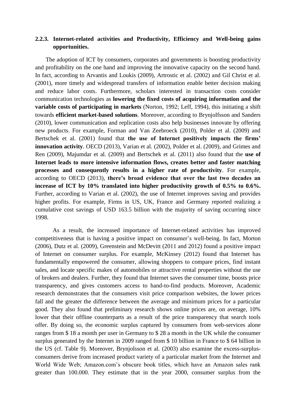## **2.2.3. Internet-related activities and Productivity, Efficiency and Well-being gains opportunities.**

The adoption of ICT by consumers, corporates and governments is boosting productivity and profitability on the one hand and improving the innovative capacity on the second hand. In fact, according to Arvantis and Loukis (2009), Artrostic et al. (2002) and Gil Christ et al. (2001), more timely and widespread transfers of information enable better decision making and reduce labor costs. Furthermore, scholars interested in transaction costs consider communication technologies as **lowering the fixed costs of acquiring information and the variable costs of participating in markets** (Norton, 1992; Leff, 1994), this initiating a shift towards **efficient market-based solutions**. Moreover, according to Brynjolfsson and Sanders (2010), lower communication and replication costs also help businesses innovate by offering new products. For example, Forman and Van Zeebroeck (2010), Polder et al. (2009) and Bertschek et al. (2001) found that **the use of Internet positively impacts the firms" innovation activity**. OECD (2013), Varian et al. (2002), Polder et al. (2009), and Grimes and Ren (2009), Majumdar et al. (2009) and Bertschek et al. (2011) also found that the **use of Internet leads to more intensive information flows, creates better and faster matching processes and consequently results in a higher rate of productivity**. For example, according to OECD (2013), **there"s broad evidence that over the last two decades an increase of ICT by 10% translated into higher productivity growth of 0.5% to 0.6%.** Further, according to Varian et al. (2002), the use of Internet improves saving and provides higher profits. For example, Firms in US, UK, France and Germany reported realizing a cumulative cost savings of USD 163.5 billion with the majority of saving occurring since 1998.

As a result, the increased importance of Internet-related activities has improved competitiveness that is having a positive impact on consumer's well-being. In fact, Morton (2006), Dutz et al. (2009), Greenstein and McDevitt (2011 and 2012) found a positive impact of Internet on consumer surplus. For example, McKinsey (2012) found that Internet has fundamentally empowered the consumer, allowing shoppers to compare prices, find instant sales, and locate specific makes of automobiles or attractive rental properties without the use of brokers and dealers. Further, they found that Internet saves the consumer time, boosts price transparency, and gives customers access to hand-to-find products. Moreover, Academic research demonstrates that the consumers visit price comparison websites, the lower prices fall and the greater the difference between the average and minimum prices for a particular good. They also found that preliminary research shows online prices are, on average, 10% lower that their offline counterparts as a result of the price transparency that search tools offer. By doing so, the economic surplus captured by consumers from web-services alone ranges from \$ 18 a month per user in Germany to \$ 28 a month in the UK while the consumer surplus generated by the Internet in 2009 ranged from \$ 10 billion in France to \$ 64 billion in the US (cf. Table 9). Moreover, Brynjolsson et al. (2003) also examine the excess-surplusconsumers derive from increased product variety of a particular market from the Internet and World Wide Web; Amazon.com"s obscure book titles, which have an Amazon sales rank greater than 100.000. They estimate that in the year 2000, consumer surplus from the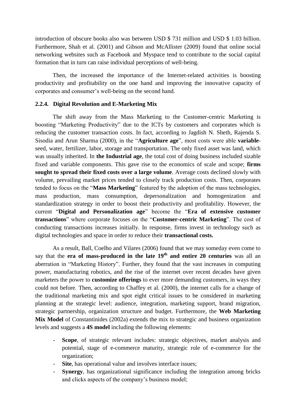introduction of obscure books also was between USD \$ 731 million and USD \$ 1.03 billion. Furthermore, Shah et al. (2001) and Gibson and McAllister (2009) found that online social networking websites such as Facebook and Myspace tend to contribute to the social capital formation that in turn can raise individual perceptions of well-being.

Then, the increased the importance of the Internet-related activities is boosting productivity and profitability on the one hand and improving the innovative capacity of corporates and consumer"s well-being on the second hand.

#### **2.2.4. Digital Revolution and E-Marketing Mix**

The shift away from the Mass Marketing to the Customer-centric Marketing is boosting "Marketing Productivity" due to the ICTs by customers and corporates which is reducing the customer transaction costs. In fact, according to Jagdish N. Sheth, Rajenda S. Sisodia and Arun Sharma (2000), in the "**Agriculture age**", most costs were able **variable**seed, water, fertilizer, labor, storage and transportation. The only fixed asset was land, which was usually inherited. In **the Industrial age**, the total cost of doing business included sizable fixed and variable components. This gave rise to the economics of scale and scope; **firms sought to spread their fixed costs over a large volume**. Average costs declined slowly with volume, prevailing market prices tended to closely track production costs. Then, corporates tended to focus on the "**Mass Marketing**" featured by the adoption of the mass technologies, mass production, mass consumption, depersonalization and homogenization and standardization strategy in order to boost their productivity and profitability. However, the current "**Digital and Personalization age**" become the "**Era of extensive customer transactions**" where corporate focuses on the "**Customer-centric Marketing**". The cost of conducting transactions increases initially. In response, firms invest in technology such as digital technologies and space in order to reduce their **transactional costs.**

As a result, Ball, Coelho and Vilares (2006) found that we may someday even come to say that the **era of mass-produced in the late 19th and entire 20 centuries** was all an aberration in "Marketing History". Further, they found that the vast increases in computing power, manufacturing robotics, and the rise of the internet over recent decades have given marketers the power to **customize offerings** to ever more demanding customers, in ways they could not before. Then, according to Chaffey et al. (2000), the internet calls for a change of the traditional marketing mix and spot eight critical issues to be considered in marketing planning at the strategic level: audience, integration, marketing support, brand migration, strategic partnership, organization structure and budget. Furthermore, the **Web Marketing Mix Model** of Constantinides (2002a) extends the mix to strategic and business organization levels and suggests a **4S model** including the following elements:

- **Scope**, of strategic relevant includes: strategic objectives, market analysis and potential, stage of e-commerce maturity, strategic role of e-commerce for the organization;
- **Site**, has operational value and involves interface issues;
- **Synergy**, has organizational significance including the integration among bricks and clicks aspects of the company"s business model;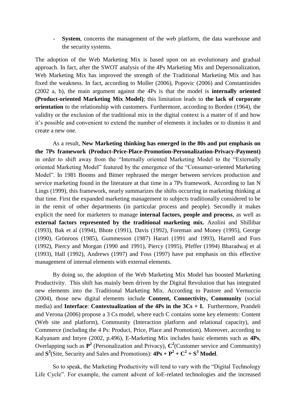**System**, concerns the management of the web platform, the data warehouse and the security systems.

The adoption of the Web Marketing Mix is based upon on an evolutionary and gradual approach. In fact, after the SWOT analysis of the 4Ps Marketing Mix and Depersonalization, Web Marketing Mix has improved the strength of the Traditional Marketing Mix and has fixed the weakness. In fact, according to Moller (2006), Popovic (2006) and Constantinides (2002 a, b), the main argument against the 4Ps is that the model is **internally oriented (Product-oriented Marketing Mix Model)**; this limitation leads to **the lack of corporate orientation** to the relationship with customers. Furthermore, according to Borden (1964), the validity or the exclusion of the traditional mix in the digital context is a matter of if and how it's possible and convenient to extend the number of elements it includes or to dismiss it and create a new one.

As a result, **New Marketing thinking has emerged in the 80s and put emphasis on the 7Ps framework (Product-Price-Place-Promotion-Personalization-Privacy-Payment)** in order to shift away from the "Internally oriented Marketing Model to the "Externally oriented Marketing Model" featured by the emergence of the "Consumer-oriented Marketing Model". In 1981 Booms and Bitner rephrased the merger between services production and service marketing found in the literature at that time in a 7Ps framework. According to Ian N Lings (1999), this framework, nearly summarizes the shifts occurring in marketing thinking at that time. First the expanded marketing management to subjects traditionally considered to be in the remit of other departments (in particular process and people). Secondly it makes explicit the need for marketers to manage **internal factors, people and process**, as well as **external factors represented by the traditional marketing mix.** Azolini and Shillibar (1993), Bak et al (1994), Bhote (1991), Davis (1992), Foreman and Money (1995), George (1990), Grönroos (1985), Gummesson (1987) Harari (1991 and 1993), Harrell and Fors (1992), Piercy and Morgan (1990 and 1991), Piercy (1995), Pfeffer (1994) Bharadwaj et al (1993), Hall (1992), Andrews (1997) and Foss (1997) have put emphasis on this effective management of internal elements with external elements.

By doing so, the adoption of the Web Marketing Mix Model has boosted Marketing Productivity. This shift has mainly been driven by the Digital Revolution that has integrated new elements into the Traditional Marketing Mix. According to Pastore and Vernuccio (2004), those new digital elements include **Content, Connectivity, Community** (social media) and **Interface**: **Contextualization of the 4Ps in the 3Cs + I.** Furthermore, Prandeli and Verona (2006) propose a 3 Cs model, where each C contains some key elements: Content (Web site and platform), Community (Interaction platform and relational capacity), and Commerce (including the 4 Ps: Product, Price, Place and Promotion). Moreover, according to Kalyanam and Intyre (2002, p.496), E-Marketing Mix includes basic elements such as **4Ps**, Overlapping such as  $\mathbf{P}^2$  (Personalization and Privacy),  $\mathbf{C}^2$  (Customer service and Community) and  $S^3$ (Site, Security and Sales and Promotions):  $4Ps + P^2 + C^2 + S^3$  Model.

So to speak, the Marketing Productivity will tend to vary with the "Digital Technology Life Cycle". For example, the current advent of IoE-related technologies and the increased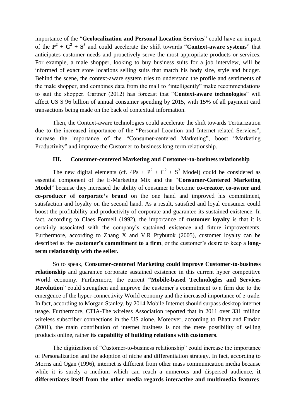importance of the "**Geolocalization and Personal Location Services**" could have an impact of the  $P^2 + C^2 + S^3$  and could accelerate the shift towards "**Context-aware systems**" that anticipates customer needs and proactively serve the most appropriate products or services. For example, a male shopper, looking to buy business suits for a job interview, will be informed of exact store locations selling suits that match his body size, style and budget. Behind the scene, the context-aware system tries to understand the profile and sentiments of the male shopper, and combines data from the mall to "intelligently" make recommendations to suit the shopper. Gartner (2012) has forecast that "**Context-aware technologies**" will affect US \$ 96 billion of annual consumer spending by 2015, with 15% of all payment card transactions being made on the back of contextual information.

Then, the Context-aware technologies could accelerate the shift towards Tertiarization due to the increased importance of the "Personal Location and Internet-related Services", increase the importance of the "Consumer-centered Marketing", boost "Marketing Productivity" and improve the Customer-to-business long-term relationship.

#### **III. Consumer-centered Marketing and Customer-to-business relationship**

The new digital elements (cf.  $4Ps + P^2 + C^2 + S^3$  Model) could be considered as essential component of the E-Marketing Mix and the "**Consumer-Centered Marketing Model**" because they increased the ability of consumer to become **co-creator, co-owner and co-producer of corporate"s brand** on the one hand and improved his commitment, satisfaction and loyalty on the second hand. As a result, satisfied and loyal consumer could boost the profitability and productivity of corporate and guarantee its sustained existence. In fact, according to Claes Formell (1992), the importance of **customer loyalty** is that it is certainly associated with the company"s sustained existence and future improvements. Furthermore, according to Zhang X and V.R Prybutok (2005), customer loyalty can be described as the **customer's commitment to a firm**, or the customer's desire to keep a **longterm relationship with the seller.**

So to speak, **Consumer-centered Marketing could improve Customer-to-business relationship** and guarantee corporate sustained existence in this current hyper competitive World economy. Furthermore, the current "**Mobile-based Technologies and Services Revolution**" could strengthen and improve the customer's commitment to a firm due to the emergence of the hyper-connectivity World economy and the increased importance of e-trade. In fact, according to Morgan Stanley, by 2014 Mobile Internet should surpass desktop internet usage. Furthermore, CTIA-The wireless Association reported that in 2011 over 331 million wireless subscriber connections in the US alone. Moreover, according to Bhatt and Emdad (2001), the main contribution of internet business is not the mere possibility of selling products online, rather **its capability of building relations with customers**.

The digitization of "Customer-to-business relationship" could increase the importance of Personalization and the adoption of niche and differentiation strategy. In fact, according to Morris and Ogan (1996), internet is different from other mass communication media because while it is surely a medium which can reach a numerous and dispersed audience, **it differentiates itself from the other media regards interactive and multimedia features**.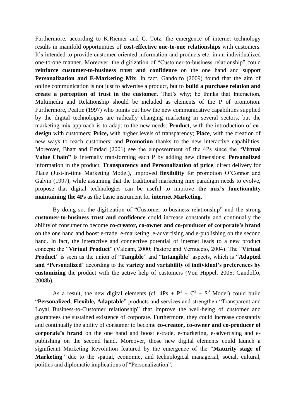Furthermore, according to K.Riemer and C. Totz, the emergence of internet technology results in manifold opportunities of **cost-effective one-to-one relationships** with customers. It"s intended to provide customer oriented information and products etc. in an individualized one-to-one manner. Moreover, the digitization of "Customer-to-business relationship" could **reinforce customer-to-business trust and confidence** on the one hand and support **Personalization and E-Marketing Mix**. In fact, Gandolfo (2009) found that the aim of online communication is not just to advertise a product, but to **build a purchase relation and create a perception of trust in the customer.** That"s why; he thinks that Interaction, Multimedia and Relationship should be included as elements of the P of promotion. Furthermore, Peattie (1997) who points out how the new communicative capabilities supplied by the digital technologies are radically changing marketing in several sectors, but the marketing mix approach is to adapt to the new needs: **Produc**t, with the introduction of **codesign** with customers; **Price,** with higher levels of transparency; **Place**, with the creation of new ways to reach customers; and **Promotion** thanks to the new interactive capabilities. Moreover, Bhatt and Emdad (2001) see the empowerment of the 4Ps since the "**Virtual Value Chain"** is internally transforming each P by adding new dimensions: **Personalized** information in the product, **Transparency and Personalization of price**, direct delivery for Place (Just-in-time Marketing Model), improved **flexibility** for promotion O"Connor and Galvin (1997), while assuming that the traditional marketing mix paradigm needs to evolve, propose that digital technologies can be useful to improve **the mix"s functionality maintaining the 4Ps** as the basic instrument for **internet Marketing.**

By doing so, the digitization of "Customer-to-business relationship" and the strong **customer-to-business trust and confidence** could increase constantly and continually the ability of consumer to become **co-creator, co-owner and co-producer of corporate"s brand** on the one hand and boost e-trade, e-marketing, e-advertising and e-publishing on the second hand. In fact, the interactive and connective potential of internet leads to a new product concept: the "**Virtual Product**" (Valdani, 2000; Pastore and Vernuccio, 2004). The "**Virtual Product**" is seen as the union of "**Tangible**" and "**Intangible**" aspects, which is "**Adapted and "Personalized**" according to the **variety and variability of individual"s preferences by customizing** the product with the active help of customers (Von Hippel, 2005; Gandolfo, 2008b).

As a result, the new digital elements (cf.  $4Ps + P^2 + C^2 + S^3$  Model) could build "**Personalized, Flexible, Adaptable**" products and services and strengthen "Transparent and Loyal Business-to-Customer relationship" that improve the well-being of customer and guarantees the sustained existence of corporate. Furthermore, they could increase constantly and continually the ability of consumer to become **co-creator, co-owner and co-producer of corporate"s brand** on the one hand and boost e-trade, e-marketing, e-advertising and epublishing on the second hand. Moreover, those new digital elements could launch a significant Marketing Revolution featured by the emergence of the "**Maturity stage of Marketing**" due to the spatial, economic, and technological managerial, social, cultural, politics and diplomatic implications of "Personalization".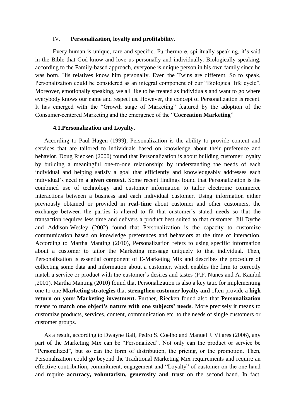#### IV. **Personalization, loyalty and profitability.**

Every human is unique, rare and specific. Furthermore, spiritually speaking, it's said in the Bible that God know and love us personally and individually. Biologically speaking, according to the Family-based approach, everyone is unique person in his own family since he was born. His relatives know him personally. Even the Twins are different. So to speak, Personalization could be considered as an integral component of our "Biological life cycle". Moreover, emotionally speaking, we all like to be treated as individuals and want to go where everybody knows our name and respect us. However, the concept of Personalization is recent. It has emerged with the "Growth stage of Marketing" featured by the adoption of the Consumer-centered Marketing and the emergence of the "**Cocreation Marketing**".

#### **4.1.Personalization and Loyalty.**

According to Paul Hagen (1999), Personalization is the ability to provide content and services that are tailored to individuals based on knowledge about their preference and behavior. Doug Riecken (2000) found that Personalization is about building customer loyalty by building a meaningful one-to-one relationship; by understanding the needs of each individual and helping satisfy a goal that efficiently and knowledgeably addresses each individual"s need in **a given context**. Some recent findings found that Personalization is the combined use of technology and customer information to tailor electronic commerce interactions between a business and each individual customer. Using information either previously obtained or provided in **real-time** about customer and other customers, the exchange between the parties is altered to fit that customer's stated needs so that the transaction requires less time and delivers a product best suited to that customer. Jill Dyche and Addison-Wesley (2002) found that Personalization is the capacity to customize communication based on knowledge preferences and behaviors at the time of interaction. According to Martha Manting (2010), Personalization refers to using specific information about a customer to tailor the Marketing message uniquely to that individual. Then, Personalization is essential component of E-Marketing Mix and describes the procedure of collecting some data and information about a customer, which enables the firm to correctly match a service or product with the customer's desires and tastes (P.F. Nunes and A. Kambil ,2001). Martha Manting (2010) found that Personalization is also a key tatic for implementing one-to-one **Marketing strategies** that **strengthen customer loyalty and** often provide a **high return on your Marketing investment.** Further, Riecken found also that **Personalization** means to **match one object's nature with one subjects' needs**. More precisely it means to customize products, services, content, communication etc. to the needs of single customers or customer groups.

As a result, according to Dwayne Ball, Pedro S. Coelho and Manuel J. Vilares (2006), any part of the Marketing Mix can be "Personalized". Not only can the product or service be "Personalized", but so can the form of distribution, the pricing, or the promotion. Then, Personalization could go beyond the Traditional Marketing Mix requirements and require an effective contribution, commitment, engagement and "Loyalty" of customer on the one hand and require **accuracy, voluntarism, generosity and trust** on the second hand. In fact,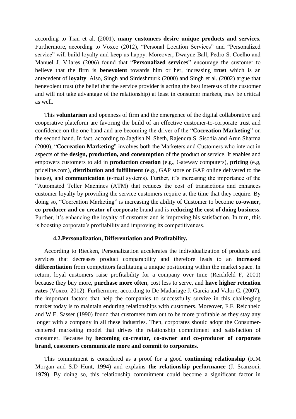according to Tian et al. (2001), **many customers desire unique products and services.** Furthermore, according to Voxeo (2012), "Personal Location Services" and "Personalized service" will build loyalty and keep us happy. Moreover, Dwayne Ball, Pedro S. Coelho and Manuel J. Vilares (2006) found that "**Personalized services**" encourage the customer to believe that the firm is **benevolent** towards him or her, increasing **trust** which is an antecedent of **loyalty**. Also, Singh and Sirdeshmurk (2000) and Singh et al. (2002) argue that benevolent trust (the belief that the service provider is acting the best interests of the customer and will not take advantage of the relationship) at least in consumer markets, may be critical as well.

This **voluntarism** and openness of firm and the emergence of the digital collaborative and cooperative plateform are favoring the build of an effective customer-to-corporate trust and confidence on the one hand and are becoming the driver of the "**Cocreation Marketing**" on the second hand. In fact, according to Jagdish N. Sheth, Rajendra S. Sisodia and Arun Sharma (2000), "**Cocreation Marketing**" involves both the Marketers and Customers who interact in aspects of the **design, production, and consumption** of the product or service. It enables and empowers customers to aid in **production creation** (e.g., Gateway computers), **pricing** (e.g, priceline.com), **distribution and fulfillment** (e.g., GAP store or GAP online delivered to the house), and **communication** (e-mail systems). Further, it's increasing the importance of the "Automated Teller Machines (ATM) that reduces the cost of transactions and enhances customer loyalty by providing the service customers require at the time that they require. By doing so, "Cocreation Marketing" is increasing the ability of Customer to become **co-owner, co-producer and co-creator of corporate** brand and is **reducing the cost of doing business**. Further, it's enhancing the loyalty of customer and is improving his satisfaction. In turn, this is boosting corporate's profitability and improving its competitiveness.

#### **4.2.Personalization, Differentiation and Profitability.**

According to Riecken, Personalization accelerates the individualization of products and services that decreases product comparability and therefore leads to an **increased differentiation** from competitors facilitating a unique positioning within the market space. In return, loyal customers raise profitability for a company over time (Reichfeld F, 2001) because they buy more, **purchase more often**, cost less to serve, and **have higher retention rates** (Voxeo, 2012). Furthermore, according to De Madariage J. Garcia and Valor C. (2007), the important factors that help the companies to successfully survive in this challenging market today is to maintain enduring relationships with customers. Moreover, F.F. Reichheld and W.E. Sasser (1990) found that customers turn out to be more profitable as they stay any longer with a company in all these industries. Then, corporates should adopt the Consumercentered marketing model that drives the relationship commitment and satisfaction of consumer. Because by **becoming co-creator, co-owner and co-producer of corporate brand, customers communicate more and commit to corporates**.

This commitment is considered as a proof for a good **continuing relationship** (R.M Morgan and S.D Hunt, 1994) and explains **the relationship performance** (J. Scanzoni, 1979). By doing so, this relationship commitment could become a significant factor in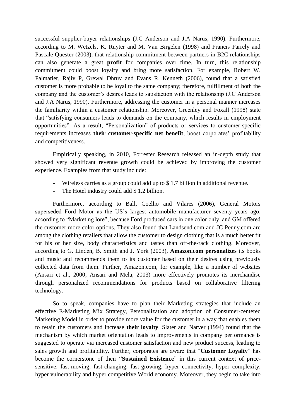successful supplier-buyer relationships (J.C Anderson and J.A Narus, 1990). Furthermore, according to M. Wetzels, K. Ruyter and M. Van Birgelen (1998) and Francis Farrely and Pascale Quester (2003), that relationship commitment between partners in B2C relationships can also generate a great **profit** for companies over time. In turn, this relationship commitment could boost loyalty and bring more satisfaction. For example, Robert W. Palmatier, Rajiv P, Grewal Dhruv and Evans R. Kenneth (2006), found that a satisfied customer is more probable to be loyal to the same company; therefore, fulfillment of both the company and the customer"s desires leads to satisfaction with the relationship (J.C Anderson and J.A Narus, 1990). Furthermore, addressing the customer in a personal manner increases the familiarity within a customer relationship. Moreover, Greenley and Foxall (1998) state that "satisfying consumers leads to demands on the company, which results in employment opportunities". As a result, "Personalization" of products or services to customer-specific requirements increases **their customer-specific net benefit**, boost corporates' profitability and competitiveness.

Empirically speaking, in 2010, Forrester Research released an in-depth study that showed very significant revenue growth could be achieved by improving the customer experience. Examples from that study include:

- Wireless carries as a group could add up to \$ 1.7 billion in additional revenue.
- The Hotel industry could add \$1.2 billion.

Furthermore, according to Ball, Coelho and Vilares (2006), General Motors superseded Ford Motor as the US"s largest automobile manufacturer seventy years ago, according to "Marketing lore", because Ford produced cars in one color only, and GM offered the customer more color options. They also found that Landsend.com and JC Penny.com are among the clothing retailers that allow the customer to design clothing that is a much better fit for his or her size, body characteristics and tastes than off-the-rack clothing. Moreover, according to G. Linden, B. Smith and J. York (2003), **Amazon.com personalizes** its books and music and recommends them to its customer based on their desires using previously collected data from them. Further, Amazon.com, for example, like a number of websites (Ansari et al., 2000; Ansari and Mela, 2003) more effectively promotes its merchandise through personalized recommendations for products based on collaborative filtering technology.

So to speak, companies have to plan their Marketing strategies that include an effective E-Marketing Mix Strategy, Personalization and adoption of Consumer-centered Marketing Model in order to provide more value for the customer in a way that enables them to retain the customers and increase **their loyalty**. Slater and Narver (1994) found that the mechanism by which market orientation leads to improvements in company performance is suggested to operate via increased customer satisfaction and new product success, leading to sales growth and profitability. Further, corporates are aware that "**Customer Loyalty**" has become the cornerstone of their "**Sustained Existence**" in this current context of pricesensitive, fast-moving, fast-changing, fast-growing, hyper connectivity, hyper complexity, hyper vulnerability and hyper competitive World economy. Moreover, they begin to take into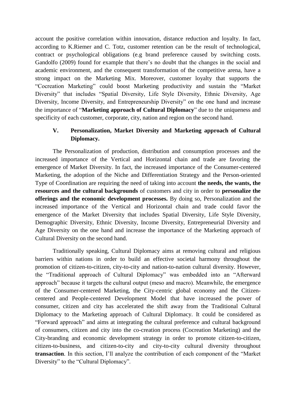account the positive correlation within innovation, distance reduction and loyalty. In fact, according to K.Riemer and C. Totz, customer retention can be the result of technological, contract or psychological obligations (e.g brand preference caused by switching costs. Gandolfo (2009) found for example that there"s no doubt that the changes in the social and academic environment, and the consequent transformation of the competitive arena, have a strong impact on the Marketing Mix. Moreover, customer loyalty that supports the "Cocreation Marketing" could boost Marketing productivity and sustain the "Market Diversity" that includes "Spatial Diversity, Life Style Diversity, Ethnic Diversity, Age Diversity, Income Diversity, and Entrepreneurship Diversity" on the one hand and increase the importance of "**Marketing approach of Cultural Diplomacy**" due to the uniqueness and specificity of each customer, corporate, city, nation and region on the second hand.

## **V. Personalization, Market Diversity and Marketing approach of Cultural Diplomacy.**

The Personalization of production, distribution and consumption processes and the increased importance of the Vertical and Horizontal chain and trade are favoring the emergence of Market Diversity. In fact, the increased importance of the Consumer-centered Marketing, the adoption of the Niche and Differentiation Strategy and the Person-oriented Type of Coordination are requiring the need of taking into account **the needs, the wants, the resources and the cultural backgrounds** of customers and city in order to **personalize the offerings and the economic development processes.** By doing so, Personalization and the increased importance of the Vertical and Horizontal chain and trade could favor the emergence of the Market Diversity that includes Spatial Diversity, Life Style Diversity, Demographic Diversity, Ethnic Diversity, Income Diversity, Entrepreneurial Diversity and Age Diversity on the one hand and increase the importance of the Marketing approach of Cultural Diversity on the second hand.

Traditionally speaking, Cultural Diplomacy aims at removing cultural and religious barriers within nations in order to build an effective societal harmony throughout the promotion of citizen-to-citizen, city-to-city and nation-to-nation cultural diversity. However, the "Traditional approach of Cultural Diplomacy" was embedded into an "Afterward approach" because it targets the cultural output (meso and macro). Meanwhile, the emergence of the Consumer-centered Marketing, the City-centric global economy and the Citizencentered and People-centered Development Model that have increased the power of consumer, citizen and city has accelerated the shift away from the Traditional Cultural Diplomacy to the Marketing approach of Cultural Diplomacy. It could be considered as "Forward approach" and aims at integrating the cultural preference and cultural background of consumers, citizen and city into the co-creation process (Cocreation Marketing) and the City-branding and economic development strategy in order to promote citizen-to-citizen, citizen-to-business, and citizen-to-city and city-to-city cultural diversity throughout **transaction**. In this section, I"ll analyze the contribution of each component of the "Market Diversity" to the "Cultural Diplomacy".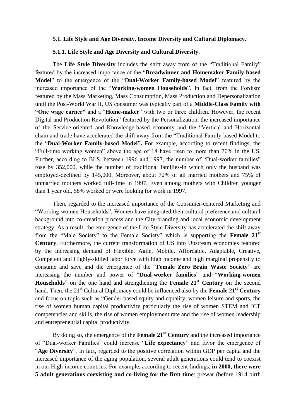#### **5.1. Life Style and Age Diversity, Income Diversity and Cultural Diplomacy.**

#### **5.1.1. Life Style and Age Diversity and Cultural Diversity.**

The **Life Style Diversity** includes the shift away from of the "Traditional Family" featured by the increased importance of the "**Breadwinner and Homemaker Family-based Model**" to the emergence of the "**Dual-Worker Family-based Model**" featured by the increased importance of the "**Working-women Households**". In fact, from the Fordism featured by the Mass Marketing, Mass Consumption, Mass Production and Depersonalization until the Post-World War II, US consumer was typically part of a **Middle-Class Family with "One wage earner"** and a "**Home-maker**" with two or three children. However, the recent Digital and Production Revolution" featured by the Personalization, the increased importance of the Service-oriented and Knowledge-based economy and the "Vertical and Horizontal chain and trade have accelerated the shift away from the "Traditional Family-based Model to the "**Dual-Worker Family-based Model".** For example, according to recent findings, the "Full-time working women" above the age of 18 have risen to more than 70% in the US. Further, according to BLS, between 1996 and 1997, the number of "Dual-worker families" rose by 352,000, while the number of traditional families-in which only the husband was employed-declined by 145,000. Moreover, about 72% of all married mothers and 75% of unmarried mothers worked full-time in 1997. Even among mothers with Children younger than 1 year old, 58% worked or were looking for work in 1997.

Then, regarded to the increased importance of the Consumer-centered Marketing and "Working-women Households", Women have integrated their cultural preference and cultural background into co-creation process and the City-branding and local economic development strategy. As a result, the emergence of the Life Style Diversity has accelerated the shift away from the "Male Society" to the Female Society" which is supporting the **Female 21st Century**. Furthermore, the current transformation of US into Upstream economies featured by the increasing demand of Flexible, Agile, Mobile, Affordable, Adaptable, Creative, Competent and Highly-skilled labor force with high income and high marginal propensity to consume and save and the emergence of the "**Female Zero Brain Waste Society**" are increasing the number and power of "**Dual-worker families**" and "**Working-women Households**" on the one hand and strengthening the **Female 21st Century** on the second hand. Then, the 21st Cultural Diplomacy could be influenced also by the **Female 21st Century** and focus on topic such as "Gender-based equity and equality, women leisure and sports, the rise of women human capital productivity particularly the rise of women STEM and ICT competencies and skills, the rise of women employment rate and the rise of women leadership and entrepreneurial capital productivity.

By doing so, the emergence of the **Female 21st Century** and the increased importance of "Dual-worker Families" could increase "**Life expectancy**" and favor the emergence of "**Age Diversity**". In fact, regarded to the positive correlation within GDP per capita and the increased importance of the aging population, several adult generations could tend to coexist in our High-income countries. For example, according to recent findings, **in 2000, there were 5 adult generations coexisting and co-living for the first time**: prewar (before 1914 birth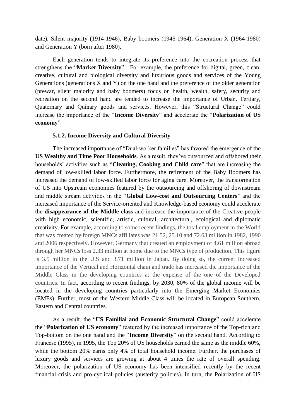date), Silent majority (1914-1946), Baby boomers (1946-1964), Generation X (1964-1980) and Generation Y (born after 1980).

Each generation tends to integrate its preference into the cocreation process that strengthens the "**Market Diversity**". For example, the preference for digital, green, clean, creative, cultural and biological diversity and luxurious goods and services of the Young Generations (generations X and Y) on the one hand and the preference of the older generation (prewar, silent majority and baby boomers) focus on health, wealth, safety, security and recreation on the second hand are tended to increase the importance of Urban, Tertiary, Quaternary and Quinary goods and services. However, this "Structural Change" could increase the importance of the "**Income Diversity**" and accelerate the "**Polarization of US economy**".

#### **5.1.2. Income Diversity and Cultural Diversity**

The increased importance of "Dual-worker families" has favored the emergence of the **US Wealthy and Time Poor Households**. As a result, they"ve outsourced and offshored their households" activities such as "**Cleaning, Cooking and Child care**" that are increasing the demand of low-skilled labor force. Furthermore, the retirement of the Baby Boomers has increased the demand of low-skilled labor force for aging care. Moreover, the transformation of US into Upstream economies featured by the outsourcing and offshoring of downstream and middle stream activities in the "**Global Low-cost and Outsourcing Centers**" and the increased importance of the Service-oriented and Knowledge-based economy could accelerate the **disappearance of the Middle class** and increase the importance of the Creative people with high economic, scientific, artistic, cultural, architectural, ecological and diplomatic creativity. For example, according to some recent findings, the total employment in the World that was created by foreign MNCs affiliates was 21.52, 25.10 and 72.63 million in 1982, 1990 and 2006 respectively. However, Germany that created an employment of 4.61 million abroad through her MNCs loss 2.33 million at home due to the MNCs type of production. This figure is 3.5 million in the U.S and 3.71 million in Japan. By doing so, the current increased importance of the Vertical and Horizontal chain and trade has increased the importance of the Middle Class in the developing countries at the expense of the one of the Developed countries. In fact, according to recent findings, by 2030, 80% of the global income will be located in the developing countries particularly into the Emerging Market Economies (EMEs). Further, most of the Western Middle Class will be located in European Southern, Eastern and Central countries.

As a result, the "**US Familial and Economic Structural Change**" could accelerate the "**Polarization of US economy**" featured by the increased importance of the Top-rich and Top-bottom on the one hand and the "**Income Diversity**" on the second hand. According to Francese (1995), in 1995, the Top 20% of US households earned the same as the middle 60%, while the bottom 20% earns only 4% of total household income. Further, the purchases of luxury goods and services are growing at about 4 times the rate of overall spending. Moreover, the polarization of US economy has been intensified recently by the recent financial crisis and pro-cyclical policies (austerity policies). In turn, the Polarization of US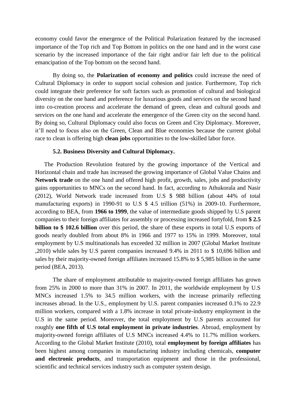economy could favor the emergence of the Political Polarization featured by the increased importance of the Top rich and Top Bottom in politics on the one hand and in the worst case scenario by the increased importance of the fair right and/or fair left due to the political emancipation of the Top bottom on the second hand.

By doing so, the **Polarization of economy and politics** could increase the need of Cultural Diplomacy in order to support social cohesion and justice. Furthermore, Top rich could integrate their preference for soft factors such as promotion of cultural and biological diversity on the one hand and preference for luxurious goods and services on the second hand into co-creation process and accelerate the demand of green, clean and cultural goods and services on the one hand and accelerate the emergence of the Green city on the second hand. By doing so, Cultural Diplomacy could also focus on Green and City Diplomacy. Moreover, it"ll need to focus also on the Green, Clean and Blue economies because the current global race to clean is offering high **clean jobs** opportunities to the low-skilled labor force.

#### **5.2. Business Diversity and Cultural Diplomacy.**

The Production Revolution featured by the growing importance of the Vertical and Horizontal chain and trade has increased the growing importance of Global Value Chains and **Network trade** on the one hand and offered high profit, growth, sales, jobs and productivity gains opportunities to MNCs on the second hand. In fact, according to Athukorala and Nasir (2012), World Network trade increased from U.S \$ 988 billion (about 44% of total manufacturing exports) in 1990-91 to U.S \$ 4.5 trillion (51%) in 2009-10. Furthermore, according to BEA, from **1966 to 1999**, the value of intermediate goods shipped by U.S parent companies to their foreign affiliates for assembly or processing increased fortyfold, from **\$ 2.5 billion to \$ 102.6 billion** over this period, the share of these exports in total U.S exports of goods nearly doubled from about 8% in 1966 and 1977 to 15% in 1999. Moreover, total employment by U.S multinationals has exceeded 32 million in 2007 (Global Market Institute ,2010) while sales by U.S parent companies increased 9.4% in 2011 to \$ 10,696 billion and sales by their majority-owned foreign affiliates increased 15.8% to \$ 5,985 billion in the same period (BEA, 2013).

The share of employment attributable to majority-owned foreign affiliates has grown from 25% in 2000 to more than 31% in 2007. In 2011, the worldwide employment by U.S MNCs increased 1.5% to 34.5 million workers, with the increase primarily reflecting increases abroad. In the U.S., employment by U.S. parent companies increased 0.1% to 22.9 million workers, compared with a 1.8% increase in total private-industry employment in the U.S in the same period. Moreover, the total employment by U.S parents accounted for roughly **one fifth of U.S total employment in private industries**. Abroad, employment by majority-owned foreign affiliates of U.S MNCs increased 4.4% to 11.7% million workers. According to the Global Market Institute (2010), total **employment by foreign affiliates** has been highest among companies in manufacturing industry including chemicals, **computer and electronic products**, and transportation equipment and those in the professional, scientific and technical services industry such as computer system design.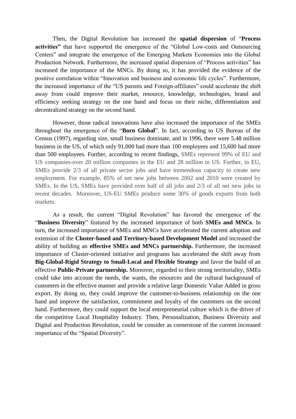Then, the Digital Revolution has increased the **spatial dispersion** of "**Process activities"** that have supported the emergence of the "Global Low-costs and Outsourcing Centers" and integrate the emergence of the Emerging Markets Economies into the Global Production Network. Furthermore, the increased spatial dispersion of "Process activities" has increased the importance of the MNCs. By doing so, it has provided the evidence of the positive correlation within "Innovation and business and economic life cycles". Furthermore, the increased importance of the "US parents and Foreign-affiliates" could accelerate the shift away from could improve their market, resource, knowledge, technologies, brand and efficiency seeking strategy on the one hand and focus on their niche, differentiation and decentralized strategy on the second hand.

However, those radical innovations have also increased the importance of the SMEs throughout the emergence of the "**Born Global**". In fact, according to US Bureau of the Census (1997), regarding size, small business dominate, and in 1996, there were 5.48 million business in the US, of which only 91,000 had more than 100 employees and 15,600 had more than 500 employees. Further, according to recent findings, SMEs represent 99% of EU and US companies-over 20 million companies in the EU and 28 million in US. Further, in EU, SMEs provide 2/3 of all private sector jobs and have tremendous capacity to create new employment. For example, 85% of net new jobs between 2002 and 2010 were created by SMEs. In the US, SMEs have provided over half of all jobs and 2/3 of all net new jobs in recent decades. Moreover, US-EU SMEs produce some 30% of goods exports from both markets.

As a result, the current "Digital Revolution" has favored the emergence of the "**Business Diversity**" featured by the increased importance of both **SMEs and MNCs**. In turn, the increased importance of SMEs and MNCs have accelerated the current adoption and extension of the **Cluster-based and Territory-based Development Model** and increased the ability of building an **effective SMEs and MNCs partnership.** Furthermore, the increased importance of Cluster-oriented initiative and programs has accelerated the shift away from **Big-Global-Rigid Strategy to Small-Local and Flexible Strategy** and favor the build of an effective **Public-Private partnership.** Moreover, regarded to their strong territoriality, SMEs could take into account the needs, the wants, the resources and the cultural background of customers in the effective manner and provide a relative large Domestic Value Added in gross export. By doing so, they could improve the customer-to-business relationship on the one hand and improve the satisfaction, commitment and loyalty of the customers on the second hand. Furthermore, they could support the local entrepreneurial culture which is the driver of the competitive Local Hospitality Industry. Then, Personalization, Business Diversity and Digital and Production Revolution, could be consider as cornerstone of the current increased importance of the "Spatial Diversity".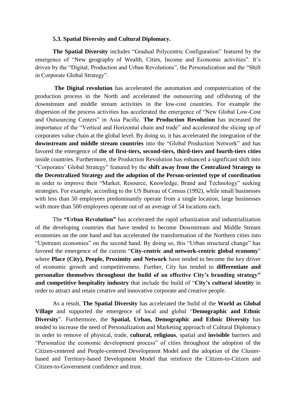#### **5.3. Spatial Diversity and Cultural Diplomacy.**

**The Spatial Diversity** includes "Gradual Polycentric Configuration" featured by the emergence of "New geography of Wealth, Cities, Income and Economic activities". It's driven by the "Digital, Production and Urban Revolutions", the Personalization and the "Shift in Corporate Global Strategy".

**The Digital revolution** has accelerated the automation and computerization of the production process in the North and accelerated the outsourcing and offshoring of the downstream and middle stream activities in the low-cost countries. For example the dispersion of the process activities has accelerated the emergence of "New Global Low-Cost and Outsourcing Centers" in Asia Pacific. **The Production Revolution** has increased the importance of the "Vertical and Horizontal chain and trade" and accelerated the slicing up of corporates value chain at the global level. By doing so, it has accelerated the integration of the **downstream and middle stream countries** into the "Global Production Network" and has favored the emergence of **the of first-tiers, second-tiers, third-tiers and fourth-tiers cities** inside countries. Furthermore, the Production Revolution has enhanced a significant shift into "Corporates" Global Strategy" featured by the **shift away from the Centralized Strategy to the Decentralized Strategy and the adoption of the Person-oriented type of coordination** in order to improve their "Market, Resource, Knowledge, Brand and Technology" seeking strategies. For example, according to the US Bureau of Census (1992), while small businesses with less than 50 employees predominantly operate from a single location, large businesses with more than 500 employees operate out of an average of 54 locations each.

The **"Urban Revolution"** has accelerated the rapid urbanization and industrialization of the developing countries that have tended to become Downstream and Middle Stream economies on the one hand and has accelerated the transformation of the Northern cities into "Upstream economies" on the second hand. By doing so, this "Urban structural change" has favored the emergence of the current "**City-centric and network-centric global economy**" where **Place (City), People, Proximity and Network** have tended to become the key driver of economic growth and competitiveness. Further, City has tended to **differentiate and personalize themselves throughout the build of an effective City"s branding strategy" and competitive hospitality industry** that include the build of "**City"s cultural identity** in order to attract and retain creative and innovative corporate and creative people.

As a result, **The Spatial Diversity** has accelerated the build of the **World as Global Village** and supported the emergence of local and global "**Demographic and Ethnic Diversity**". Furthermore, the **Spatial, Urban, Demographic and Ethnic Diversity** has tended to increase the need of Personalization and Marketing approach of Cultural Diplomacy in order to remove of physical, trade, **cultural, religious**, spatial and **invisible** barriers and "Personalize the economic development process" of cities throughout the adoption of the Citizen-centered and People-centered Development Model and the adoption of the Clusterbased and Territory-based Development Model that reinforce the Citizen-to-Citizen and Citizen-to-Government confidence and trust.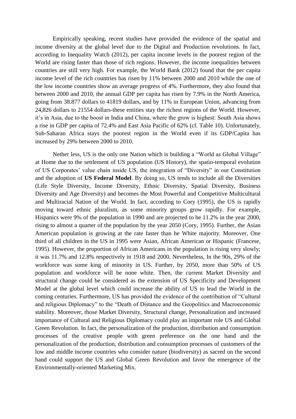Empirically speaking, recent studies have provided the evidence of the spatial and income diversity at the global level due to the Digital and Production revolutions. In fact, according to Inequality Watch (2012), per capita income levels in the poorest region of the World are rising faster than those of rich regions. However, the income inequalities between countries are still very high. For example, the World Bank (2012) found that the per capita income level of the rich countries has risen by 11% between 2000 and 2010 while the one of the low income countries show an average progress of 4%. Furthermore, they also found that between 2000 and 2010, the annual GDP per capita has risen by 7.9% in the North America, going from 38.877 dollars to 41819 dollars, and by 11% in European Union, advancing from 24,826 dollars to 21554 dollars-these entities stay the richest regions of the World. However, it"s in Asia, due to the boost in India and China, where the grow is highest: South Asia shows a rise in GDP per capita of 72.4% and East Asia Pacific of 62% (cf. Table 10). Unfortunately, Sub-Saharan Africa stays the poorest region in the World even if its GDP/Capita has increased by 29% between 2000 to 2010.

Nether less, US is the only one Nation which is building a "World as Global Village" at Home due to the settlement of US population (US History), the spatio-temporal evolution of US Corporates" value chain inside US, the integration of "Diversity" in our Constitution and the adoption of **US Federal Model**. By doing so, US tends to include all the Diversities (Life Style Diversity, Income Diversity, Ethnic Diversity, Spatial Diversity, Business Diversity and Age Diversity) and becomes the Most Powerful and Competitive Multicultural and Multiracial Nation of the World. In fact, according to Cory (1995), the US is rapidly moving toward ethnic pluralism, as some minority groups grow rapidly. For example, Hispanics were 9% of the population in 1990 and are projected to be 11.2% in the year 2000, rising to almost a quarter of the population by the year 2050 (Cory, 1995). Further, the Asian American population is growing at the rate faster than he White majority. Moreover, One third of all children in the US in 1995 were Asian, African American or Hispanic (Francese, 1995). However, the proportion of African Americans in the population is rising very slowly; it was 11.7% and 12.8% respectively in 1918 and 2000. Nevertheless, In the 90s, 29% of the workforce was some king of minority in US. Further, by 2050, more than 50% of US population and workforce will be none white. Then, the current Market Diversity and structural change could be considered as the extension of US Specificity and Development Model at the global level which could increase the ability of US to lead the World in the coming centuries. Furthermore, US has provided the evidence of the contribution of "Cultural and religious Diplomacy" to the "Death of Distance and the Geopolitics and Macroeconomic stability. Moreover, those Market Diversity, Structural change, Personalization and increased importance of Cultural and Religious Diplomacy could play an important role US and Global Green Revolution. In fact, the personalization of the production, distribution and consumption processes of the creative people with green preference on the one hand and the personalization of the production, distribution and consumption processes of customers of the low and middle income countries who consider nature (biodiversity) as sacred on the second hand could support the US and Global Green Revolution and favor the emergence of the Environmentally-oriented Marketing Mix.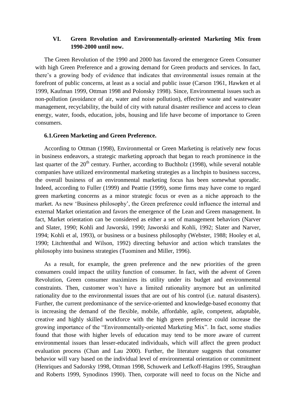### **VI. Green Revolution and Environmentally-oriented Marketing Mix from 1990-2000 until now.**

The Green Revolution of the 1990 and 2000 has favored the emergence Green Consumer with high Green Preference and a growing demand for Green products and services. In fact, there"s a growing body of evidence that indicates that environmental issues remain at the forefront of public concerns, at least as a social and public issue (Carson 1961, Hawken et al 1999, Kaufman 1999, Ottman 1998 and Polonsky 1998). Since, Environmental issues such as non-pollution (avoidance of air, water and noise pollution), effective waste and wastewater management, recyclability, the build of city with natural disaster resilience and access to clean energy, water, foods, education, jobs, housing and life have become of importance to Green consumers.

#### **6.1.Green Marketing and Green Preference.**

According to Ottman (1998), Environmental or Green Marketing is relatively new focus in business endeavors, a strategic marketing approach that began to reach prominence in the last quarter of the  $20<sup>th</sup>$  century. Further, according to Buchholz (1998), while several notable companies have utilized environmental marketing strategies as a linchpin to business success, the overall business of an environmental marketing focus has been somewhat sporadic. Indeed, according to Fuller (1999) and Peattie (1999), some firms may have come to regard green marketing concerns as a minor strategic focus or even as a niche approach to the market. As new "Business philosophy", the Green preference could influence the internal and external Market orientation and favors the emergence of the Lean and Green management. In fact, Market orientation can be considered as either a set of management behaviors (Narver and Slater, 1990; Kohli and Jaworski, 1990; Jaworski and Kohli, 1992; Slater and Narver, 1994; Kohli et al, 1993), or business or a business philosophy (Webster, 1988; Hooley et al, 1990; Litchtenthal and Wilson, 1992) directing behavior and action which translates the philosophy into business strategies (Tuominen and Miller, 1996).

As a result, for example, the green preference and the new priorities of the green consumers could impact the utility function of consumer. In fact, with the advent of Green Revolution, Green consumer maximizes its utility under its budget and environmental constraints. Then, customer won"t have a limited rationality anymore but an unlimited rationality due to the environmental issues that are out of his control (i.e. natural disasters). Further, the current predominance of the service-oriented and knowledge-based economy that is increasing the demand of the flexible, mobile, affordable, agile, competent, adaptable, creative and highly skilled workforce with the high green preference could increase the growing importance of the "Environmentally-oriented Marketing Mix". In fact, some studies found that those with higher levels of education may tend to be more aware of current environmental issues than lesser-educated individuals, which will affect the green product evaluation process (Chan and Lau 2000). Further, the literature suggests that consumer behavior will vary based on the individual level of environmental orientation or commitment (Henriques and Sadorsky 1998, Ottman 1998, Schuwerk and Lefkoff-Hagins 1995, Straughan and Roberts 1999, Synodinos 1990). Then, corporate will need to focus on the Niche and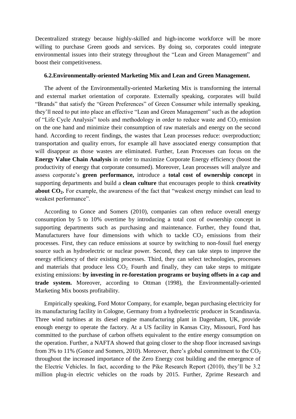Decentralized strategy because highly-skilled and high-income workforce will be more willing to purchase Green goods and services. By doing so, corporates could integrate environmental issues into their strategy throughout the "Lean and Green Management" and boost their competitiveness.

#### **6.2.Environmentally-oriented Marketing Mix and Lean and Green Management.**

The advent of the Environmentally-oriented Marketing Mix is transforming the internal and external market orientation of corporate. Externally speaking, corporates will build "Brands" that satisfy the "Green Preferences" of Green Consumer while internally speaking, they"ll need to put into place an effective "Lean and Green Management" such as the adoption of "Life Cycle Analysis" tools and methodology in order to reduce waste and  $CO<sub>2</sub>$  emission on the one hand and minimize their consumption of raw materials and energy on the second hand. According to recent findings, the wastes that Lean processes reduce: overproduction; transportation and quality errors, for example all have associated energy consumption that will disappear as those wastes are eliminated. Further, Lean Processes can focus on the **Energy Value Chain Analysis** in order to maximize Corporate Energy efficiency (boost the productivity of energy that corporate consumed). Moreover, Lean processes will analyze and assess corporate"s **green performance,** introduce a **total cost of ownership concept** in supporting departments and build a **clean culture** that encourages people to think **creativity about CO2.** For example, the awareness of the fact that "weakest energy mindset can lead to weakest performance".

According to Gonce and Somers (2010), companies can often reduce overall energy consumption by 5 to 10% overtime by introducing a total cost of ownership concept in supporting departments such as purchasing and maintenance. Further, they found that, Manufacturers have four dimensions with which to tackle  $CO<sub>2</sub>$  emissions from their processes. First, they can reduce emissions at source by switching to non-fossil fuel energy source such as hydroelectric or nuclear power. Second, they can take steps to improve the energy efficiency of their existing processes. Third, they can select technologies, processes and materials that produce less  $CO<sub>2</sub>$ . Fourth and finally, they can take steps to mitigate existing emissions: **by investing in re-forestation programs or buying offsets in a cap and trade system.** Moreover, according to Ottman (1998), the Environmentally-oriented Marketing Mix boosts profitability.

Empirically speaking, Ford Motor Company, for example, began purchasing electricity for its manufacturing facility in Cologne, Germany from a hydroelectric producer in Scandinavia. Three wind turbines at its diesel engine manufacturing plant in Dagenham, UK, provide enough energy to operate the factory. At a US facility in Kansas City, Missouri, Ford has committed to the purchase of carbon offsets equivalent to the entire energy consumption on the operation. Further, a NAFTA showed that going closer to the shop floor increased savings from 3% to 11% (Gonce and Somers, 2010). Moreover, there's global commitment to the  $CO<sub>2</sub>$ throughout the increased importance of the Zero Energy cost building and the emergence of the Electric Vehicles. In fact, according to the Pike Research Report (2010), they"ll be 3.2 million plug-in electric vehicles on the roads by 2015. Further, Zprime Research and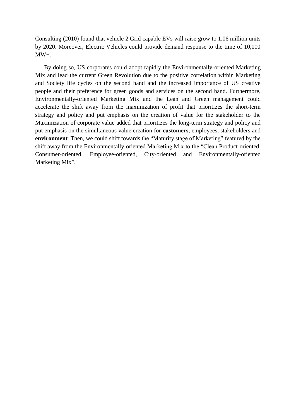Consulting (2010) found that vehicle 2 Grid capable EVs will raise grow to 1.06 million units by 2020. Moreover, Electric Vehicles could provide demand response to the time of 10,000 MW+.

By doing so, US corporates could adopt rapidly the Environmentally-oriented Marketing Mix and lead the current Green Revolution due to the positive correlation within Marketing and Society life cycles on the second hand and the increased importance of US creative people and their preference for green goods and services on the second hand. Furthermore, Environmentally-oriented Marketing Mix and the Lean and Green management could accelerate the shift away from the maximization of profit that prioritizes the short-term strategy and policy and put emphasis on the creation of value for the stakeholder to the Maximization of corporate value added that prioritizes the long-term strategy and policy and put emphasis on the simultaneous value creation for **customers**, employees, stakeholders and **environment**. Then, we could shift towards the "Maturity stage of Marketing" featured by the shift away from the Environmentally-oriented Marketing Mix to the "Clean Product-oriented, Consumer-oriented, Employee-oriented, City-oriented and Environmentally-oriented Marketing Mix".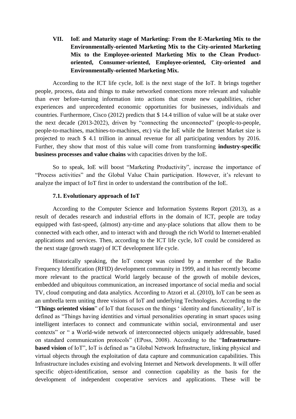## **VII. IoE and Maturity stage of Marketing: From the E-Marketing Mix to the Environmentally-oriented Marketing Mix to the City-oriented Marketing Mix to the Employee-oriented Marketing Mix to the Clean Productoriented, Consumer-oriented, Employee-oriented, City-oriented and Environmentally-oriented Marketing Mix.**

According to the ICT life cycle, IoE is the next stage of the IoT. It brings together people, process, data and things to make networked connections more relevant and valuable than ever before-turning information into actions that create new capabilities, richer experiences and unprecedented economic opportunities for businesses, individuals and countries. Furthermore, Cisco (2012) predicts that \$ 14.4 trillion of value will be at stake over the next decade (2013-2022), driven by "connecting the unconnected" (people-to-people, people-to-machines, machines-to-machines, etc) via the IoE while the Internet Market size is projected to reach \$ 4.1 trillion in annual revenue for all participating vendors by 2016. Further, they show that most of this value will come from transforming **industry-specific business processes and value chains** with capacities driven by the IoE.

So to speak, IoE will boost "Marketing Productivity", increase the importance of "Process activities" and the Global Value Chain participation. However, it's relevant to analyze the impact of IoT first in order to understand the contribution of the IoE.

#### **7.1. Evolutionary approach of IoT**

According to the Computer Science and Information Systems Report (2013), as a result of decades research and industrial efforts in the domain of ICT, people are today equipped with fast-speed, (almost) any-time and any-place solutions that allow them to be connected with each other, and to interact with and through the rich World to Internet-enabled applications and services. Then, according to the ICT life cycle, IoT could be considered as the next stage (growth stage) of ICT development life cycle.

Historically speaking, the IoT concept was coined by a member of the Radio Frequency Identification (RFID) development community in 1999, and it has recently become more relevant to the practical World largely because of the growth of mobile devices, embedded and ubiquitous communication, an increased importance of social media and social TV, cloud computing and data analytics. According to Atzori et al. (2010), IoT can be seen as an umbrella term uniting three visions of IoT and underlying Technologies. According to the "**Things oriented vision**" of IoT that focuses on the things " identity and functionality", IoT is defined as "Things having identities and virtual personalities operating in smart spaces using intelligent interfaces to connect and communicate within social, environmental and user contexts" or " a World-wide network of interconnected objects uniquely addressable, based on standard communication protocols" (EPoss, 2008). According to the "**Infrastructurebased vision** of IoT", IoT is defined as "a Global Network Infrastructure, linking physical and virtual objects through the exploitation of data capture and communication capabilities. This Infrastructure includes existing and evolving Internet and Network developments. It will offer specific object-identification, sensor and connection capability as the basis for the development of independent cooperative services and applications. These will be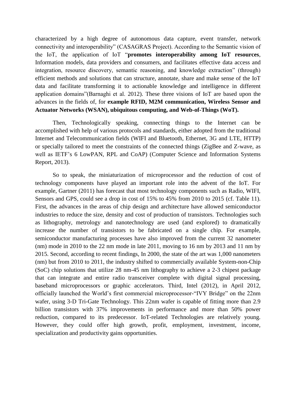characterized by a high degree of autonomous data capture, event transfer, network connectivity and interoperability" (CASAGRAS Project). According to the Semantic vision of the IoT, the application of IoT "**promotes interoperability among IoT resources**, Information models, data providers and consumers, and facilitates effective data access and integration, resource discovery, semantic reasoning, and knowledge extraction" (through) efficient methods and solutions that can structure, annotate, share and make sense of the IoT data and facilitate transforming it to actionable knowledge and intelligence in different application domains"(Barnaghi et al. 2012). These three visions of IoT are based upon the advances in the fields of, for **example RFID, M2M communication, Wireless Sensor and Actuator Networks (WSAN), ubiquitous computing, and Web-of-Things (WoT).**

Then, Technologically speaking, connecting things to the Internet can be accomplished with help of various protocols and standards, either adopted from the traditional Internet and Telecommunication fields (WIFI and Bluetooth, Ethernet, 3G and LTE, HTTP) or specially tailored to meet the constraints of the connected things (ZigBee and Z-wave, as well as IETF's 6 LowPAN, RPL and CoAP) (Computer Science and Information Systems Report, 2013).

So to speak, the miniaturization of microprocessor and the reduction of cost of technology components have played an important role into the advent of the IoT. For example, Gartner (2011) has forecast that most technology components such as Radio, WIFI, Sensors and GPS, could see a drop in cost of 15% to 45% from 2010 to 2015 (cf. Table 11). First, the advances in the areas of chip design and architecture have allowed semiconductor industries to reduce the size, density and cost of production of transistors. Technologies such as lithography, metrology and nanotechnology are used (and explored) to dramatically increase the number of transistors to be fabricated on a single chip. For example, semiconductor manufacturing processes have also improved from the current 32 nanometer (nm) mode in 2010 to the 22 nm mode in late 2011, moving to 16 nm by 2013 and 11 nm by 2015. Second, according to recent findings, In 2000, the state of the art was 1,000 nanometers (nm) but from 2010 to 2011, the industry shifted to commercially available System-non-Chip (SoC) chip solutions that utilize 28 nm-45 nm lithography to achieve a 2-3 chipest package that can integrate and entire radio transceiver complete with digital signal processing, baseband microprocessors or graphic accelerators. Third, Intel (2012), in April 2012, officially launched the World"s first commercial microprocessor-"IVY Bridge" on the 22nm wafer, using 3-D Tri-Gate Technology. This 22nm wafer is capable of fitting more than 2.9 billion transistors with 37% improvements in performance and more than 50% power reduction, compared to its predecessor. IoT-related Technologies are relatively young. However, they could offer high growth, profit, employment, investment, income, specialization and productivity gains opportunities.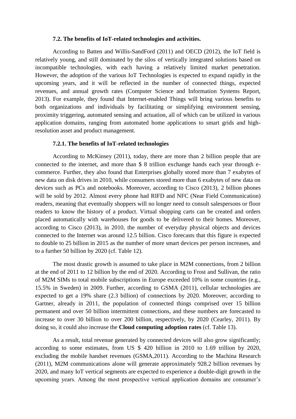#### **7.2. The benefits of IoT-related technologies and activities.**

According to Batten and Willis-SandFord (2011) and OECD (2012), the IoT field is relatively young, and still dominated by the silos of vertically integrated solutions based on incompatible technologies, with each having a relatively limited market penetration. However, the adoption of the various IoT Technologies is expected to expand rapidly in the upcoming years, and it will be reflected in the number of connected things, expected revenues, and annual growth rates (Computer Science and Information Systems Report, 2013). For example, they found that Internet-enabled Things will bring various benefits to both organizations and individuals by facilitating or simplifying environment sensing, proximity triggering, automated sensing and actuation, all of which can be utilized in various application domains, ranging from automated home applications to smart grids and highresolution asset and product management.

#### **7.2.1. The benefits of IoT-related technologies**

According to McKinsey (2011), today, there are more than 2 billion people that are connected to the internet, and more than \$ 8 trillion exchange hands each year through ecommerce. Further, they also found that Enterprises globally stored more than 7 exabytes of new data on disk drives in 2010, while consumers stored more than 6 exabytes of new data on devices such as PCs and notebooks. Moreover, according to Cisco (2013), 2 billion phones will be sold by 2012. Almost every phone had RIFD and NFC (Near Field Communication) readers, meaning that eventually shoppers will no longer need to consult salespersons or floor readers to know the history of a product. Virtual shopping carts can be created and orders placed automatically with warehouses for goods to be delivered to their homes. Moreover, according to Cisco (2013), in 2010, the number of everyday physical objects and devices connected to the Internet was around 12.5 billion. Cisco forecasts that this figure is expected to double to 25 billion in 2015 as the number of more smart devices per person increases, and to a further 50 billion by 2020 (cf. Table 12).

The most drastic growth is assumed to take place in M2M connections, from 2 billion at the end of 2011 to 12 billion by the end of 2020. According to Frost and Sullivan, the ratio of M2M SIMs to total mobile subscriptions in Europe exceeded 10% in some countries (e.g., 15.5% in Sweden) in 2009. Further, according to GSMA (2011), cellular technologies are expected to get a 19% share (2.3 billion) of connections by 2020. Moreover, according to Gartner, already in 2011, the population of connected things comprised over 15 billion permanent and over 50 billion intermittent connections, and these numbers are forecasted to increase to over 30 billion to over 200 billion, respectively, by 2020 (Cearley, 2011). By doing so, it could also increase the **Cloud computing adoption rates** (cf. Table 13).

As a result, total revenue generated by connected devices will also grow significantly; according to some estimates, from US \$ 420 billion in 2010 to 1.69 trillion by 2020, excluding the mobile handset revenues (GSMA,2011). According to the Machina Research (2011), M2M communications alone will generate approximately 928.2 billion revenues by 2020, and many IoT vertical segments are expected to experience a double-digit growth in the upcoming years. Among the most prospective vertical application domains are consumer"s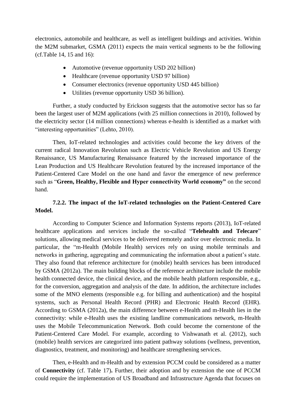electronics, automobile and healthcare, as well as intelligent buildings and activities. Within the M2M submarket, GSMA (2011) expects the main vertical segments to be the following (cf.Table 14, 15 and 16):

- Automotive (revenue opportunity USD 202 billion)
- Healthcare (revenue opportunity USD 97 billion)
- Consumer electronics (revenue opportunity USD 445 billion)
- Utilities (revenue opportunity USD 36 billion).

Further, a study conducted by Erickson suggests that the automotive sector has so far been the largest user of M2M applications (with 25 million connections in 2010), followed by the electricity sector (14 million connections) whereas e-health is identified as a market with "interesting opportunities" (Lehto, 2010).

Then, IoT-related technologies and activities could become the key drivers of the current radical Innovation Revolution such as Electric Vehicle Revolution and US Energy Renaissance, US Manufacturing Renaissance featured by the increased importance of the Lean Production and US Healthcare Revolution featured by the increased importance of the Patient-Centered Care Model on the one hand and favor the emergence of new preference such as "**Green, Healthy, Flexible and Hyper connectivity World economy"** on the second hand.

## **7.2.2. The impact of the IoT-related technologies on the Patient-Centered Care Model.**

According to Computer Science and Information Systems reports (2013), IoT-related healthcare applications and services include the so-called "**Telehealth and Telecare**" solutions, allowing medical services to be delivered remotely and/or over electronic media. In particular, the "m-Health (Mobile Health) services rely on using mobile terminals and networks in gathering, aggregating and communicating the information about a patient's state. They also found that reference architecture for (mobile) health services has been introduced by GSMA (2012a). The main building blocks of the reference architecture include the mobile health connected device, the clinical device, and the mobile health platform responsible, e.g., for the conversion, aggregation and analysis of the date. In addition, the architecture includes some of the MNO elements (responsible e.g. for billing and authentication) and the hospital systems, such as Personal Health Record (PHR) and Electronic Health Record (EHR). According to GSMA (2012a), the main difference between e-Health and m-Health lies in the connectivity: while e-Health uses the existing landline communications network, m-Health uses the Mobile Telecommunication Network. Both could become the cornerstone of the Patient-Centered Care Model. For example, according to Vishwanath et al. (2012), such (mobile) health services are categorized into patient pathway solutions (wellness, prevention, diagnostics, treatment, and monitoring) and healthcare strengthening services.

Then, e-Health and m-Health and by extension PCCM could be considered as a matter of **Connectivity** (cf. Table 17)**.** Further, their adoption and by extension the one of PCCM could require the implementation of US Broadband and Infrastructure Agenda that focuses on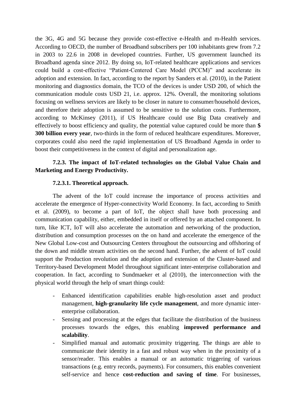the 3G, 4G and 5G because they provide cost-effective e-Health and m-Health services. According to OECD, the number of Broadband subscribers per 100 inhabitants grew from 7.2 in 2003 to 22.6 in 2008 in developed countries. Further, US government launched its Broadband agenda since 2012. By doing so, IoT-related healthcare applications and services could build a cost-effective "Patient-Centered Care Model (PCCM)" and accelerate its adoption and extension. In fact, according to the report by Sanders et al. (2010), in the Patient monitoring and diagnostics domain, the TCO of the devices is under USD 200, of which the communication module costs USD 21, i.e. approx. 12%. Overall, the monitoring solutions focusing on wellness services are likely to be closer in nature to consumer/household devices, and therefore their adoption is assumed to be sensitive to the solution costs. Furthermore, according to McKinsey (2011), if US Healthcare could use Big Data creatively and effectively to boost efficiency and quality, the potential value captured could be more than **\$ 300 billion every year**, two-thirds in the form of reduced healthcare expenditures. Moreover, corporates could also need the rapid implementation of US Broadband Agenda in order to boost their competitiveness in the context of digital and personalization age.

## **7.2.3. The impact of IoT-related technologies on the Global Value Chain and Marketing and Energy Productivity.**

#### **7.2.3.1. Theoretical approach.**

The advent of the IoT could increase the importance of process activities and accelerate the emergence of Hyper-connectivity World Economy. In fact, according to Smith et al. (2009), to become a part of IoT, the object shall have both processing and communication capability, either, embedded in itself or offered by an attached component. In turn, like ICT, IoT will also accelerate the automation and networking of the production, distribution and consumption processes on the on hand and accelerate the emergence of the New Global Low-cost and Outsourcing Centers throughout the outsourcing and offshoring of the down and middle stream activities on the second hand. Further, the advent of IoT could support the Production revolution and the adoption and extension of the Cluster-based and Territory-based Development Model throughout significant inter-enterprise collaboration and cooperation. In fact, according to Sundmaeker et al (2010), the interconnection with the physical world through the help of smart things could:

- Enhanced identification capabilities enable high-resolution asset and product management, **high-granularity life cycle management**, and more dynamic interenterprise collaboration.
- Sensing and processing at the edges that facilitate the distribution of the business processes towards the edges, this enabling **improved performance and scalability**.
- Simplified manual and automatic proximity triggering. The things are able to communicate their identity in a fast and robust way when in the proximity of a sensor/reader. This enables a manual or an automatic triggering of various transactions (e.g. entry records, payments). For consumers, this enables convenient self-service and hence **cost-reduction and saving of time**. For businesses,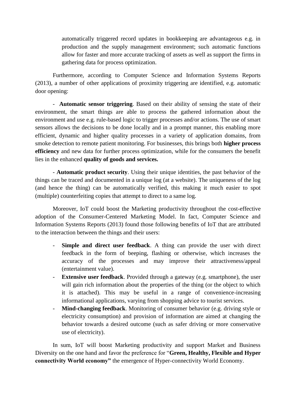automatically triggered record updates in bookkeeping are advantageous e.g. in production and the supply management environment; such automatic functions allow for faster and more accurate tracking of assets as well as support the firms in gathering data for process optimization.

Furthermore, according to Computer Science and Information Systems Reports (2013), a number of other applications of proximity triggering are identified, e.g. automatic door opening:

- **Automatic sensor triggering**. Based on their ability of sensing the state of their environment, the smart things are able to process the gathered information about the environment and use e.g. rule-based logic to trigger processes and/or actions. The use of smart sensors allows the decisions to be done locally and in a prompt manner, this enabling more efficient, dynamic and higher quality processes in a variety of application domains, from smoke detection to remote patient monitoring. For businesses, this brings both **higher process efficiency** and new data for further process optimization, while for the consumers the benefit lies in the enhanced **quality of goods and services.**

- **Automatic product security**. Using their unique identities, the past behavior of the things can be traced and documented in a unique log (at a website). The uniqueness of the log (and hence the thing) can be automatically verified, this making it much easier to spot (multiple) counterfeiting copies that attempt to direct to a same log.

Moreover, IoT could boost the Marketing productivity throughout the cost-effective adoption of the Consumer-Centered Marketing Model. In fact, Computer Science and Information Systems Reports (2013) found those following benefits of IoT that are attributed to the interaction between the things and their users:

- **Simple and direct user feedback**. A thing can provide the user with direct feedback in the form of beeping, flashing or otherwise, which increases the accuracy of the processes and may improve their attractiveness/appeal (entertainment value).
- **Extensive user feedback**. Provided through a gateway (e.g. smartphone), the user will gain rich information about the properties of the thing (or the object to which it is attached). This may be useful in a range of convenience-increasing informational applications, varying from shopping advice to tourist services.
- **Mind-changing feedback**. Monitoring of consumer behavior (e.g. driving style or electricity consumption) and provision of information are aimed at changing the behavior towards a desired outcome (such as safer driving or more conservative use of electricity).

In sum, IoT will boost Marketing productivity and support Market and Business Diversity on the one hand and favor the preference for "**Green, Healthy, Flexible and Hyper connectivity World economy"** the emergence of Hyper-connectivity World Economy.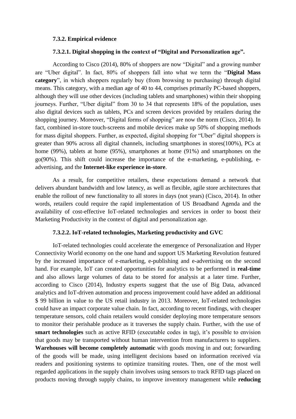#### **7.3.2. Empirical evidence**

#### **7.3.2.1. Digital shopping in the context of "Digital and Personalization age".**

According to Cisco (2014), 80% of shoppers are now "Digital" and a growing number are "Uber digital". In fact, 80% of shoppers fall into what we term the "**Digital Mass category**", in which shoppers regularly buy (from browsing to purchasing) through digital means. This category, with a median age of 40 to 44, comprises primarily PC-based shoppers, although they will use other devices (including tablets and smartphones) within their shopping journeys. Further, "Uber digital" from 30 to 34 that represents 18% of the population, uses also digital devices such as tablets, PCs and screen devices provided by retailers during the shopping journey. Moreover, "Digital forms of shopping" are now the norm (Cisco, 2014). In fact, combined in-store touch-screens and mobile devices make up 50% of shopping methods for mass digital shoppers. Further, as expected, digital shopping for "Uber" digital shoppers is greater than 90% across all digital channels, including smartphones in stores(100%), PCs at home (99%), tablets at home (95%), smartphones at home (91%) and smartphones on the go(90%). This shift could increase the importance of the e-marketing, e-publishing, eadvertising, and the **Internet-like experience in-store**.

As a result, for competitive retailers, these expectations demand a network that delivers abundant bandwidth and low latency, as well as flexible, agile store architectures that enable the rollout of new functionality to all stores in days (not years) (Cisco, 2014). In other words, retailers could require the rapid implementation of US Broadband Agenda and the availability of cost-effective IoT-related technologies and services in order to boost their Marketing Productivity in the context of digital and personalization age.

#### **7.3.2.2. IoT-related technologies, Marketing productivity and GVC**

IoT-related technologies could accelerate the emergence of Personalization and Hyper Connectivity World economy on the one hand and support US Marketing Revolution featured by the increased importance of e-marketing, e-publishing and e-advertising on the second hand. For example, IoT can created opportunities for analytics to be performed in **real-time** and also allows large volumes of data to be stored for analysis at a later time. Further, according to Cisco (2014), Industry experts suggest that the use of Big Data, advanced analytics and IoT-driven automation and process improvement could have added an additional \$ 99 billion in value to the US retail industry in 2013. Moreover, IoT-related technologies could have an impact corporate value chain. In fact, according to recent findings, with cheaper temperature sensors, cold chain retailers would consider deploying more temperature sensors to monitor their perishable produce as it traverses the supply chain. Further, with the use of **smart technologies** such as active RFID (executable codes in tag), it's possible to envision that goods may be transported without human intervention from manufacturers to suppliers. **Warehouses will become completely automatic** with goods moving in and out; forwarding of the goods will be made, using intelligent decisions based on information received via readers and positioning systems to optimize transiting routes. Then, one of the most well regarded applications in the supply chain involves using sensors to track RFID tags placed on products moving through supply chains, to improve inventory management while **reducing**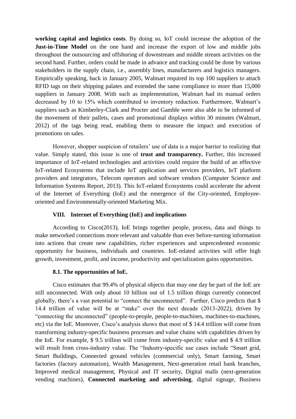**working capital and logistics costs**. By doing so, IoT could increase the adoption of the **Just-in-Time Model** on the one hand and increase the export of low and middle jobs throughout the outsourcing and offshoring of downstream and middle stream activities on the second hand. Further, orders could be made in advance and tracking could be done by various stakeholders in the supply chain, i.e., assembly lines, manufacturers and logistics managers. Empirically speaking, back in January 2005, Walmart required its top 100 suppliers to attach RFID tags on their shipping palates and extended the same compliance to more than 15,000 suppliers in January 2008. With such as implementation, Walmart had its manual orders decreased by 10 to 15% which contributed to inventory reduction. Furthermore, Walmart's suppliers such as Kimberley-Clark and Procter and Gamble were also able to be informed of the movement of their pallets, cases and promotional displays within 30 minutes (Walmart, 2012) of the tags being read, enabling them to measure the impact and execution of promotions on sales.

However, shopper suspicion of retailers" use of data is a major barrier to realizing that value. Simply stated, this issue is one of **trust and transparency.** Further, this increased importance of IoT-related technologies and activities could require the build of an effective IoT-related Ecosystems that include IoT application and services providers, IoT platform providers and integrators, Telecom operators and software vendors (Computer Science and Information Systems Report, 2013). This IoT-related Ecosystems could accelerate the advent of the Internet of Everything (IoE) and the emergence of the City-oriented, Employeeoriented and Environmentally-oriented Marketing Mix.

#### **VIII. Internet of Everything (IoE) and implications**

According to Cisco(2013), IoE brings together people, process, data and things to make networked connections more relevant and valuable than ever before-turning information into actions that create new capabilities, richer experiences and unprecedented economic opportunity for business, individuals and countries. IoE-related activities will offer high growth, investment, profit, and income, productivity and specialization gains opportunities.

#### **8.1. The opportunities of IoE.**

Cisco estimates that 99.4% of physical objects that may one day be part of the IoE are still unconnected. With only about 10 billion out of 1.5 trillion things currently connected globally, there's a vast potential to "connect the unconnected". Further, Cisco predicts that \$ 14.4 trillion of value will be at "stake" over the next decade (2013-2022), driven by "connecting the unconnected" (people-to-people, people-to-machines, machines-to-machines, etc) via the IoE. Moreover, Cisco"s analysis shows that most of \$ 14.4 trillion will come from transforming industry-specific business processes and value chains with capabilities driven by the IoE. For example, \$ 9.5 trillion will come from industry-specific value and \$ 4.9 trillion will result from cross-industry value. The "Industry-specific use cases include "Smart grid, Smart Buildings, Connected ground vehicles (commercial only), Smart farming, Smart factories (factory automation), Wealth Management, Next-generation retail bank branches, Improved medical management, Physical and IT security, Digital malls (next-generation vending machines), **Connected marketing and advertising**, digital signage, Business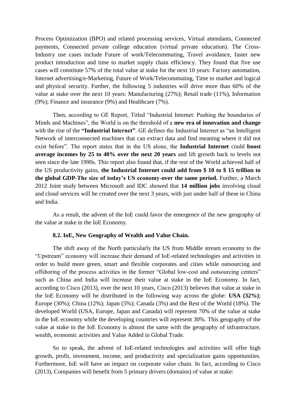Process Optimization (BPO) and related processing services, Virtual attendants, Connected payments, Connected private college education (virtual private education). The Cross-Industry use cases include Future of work/Telecommuting, Travel avoidance, faster new product introduction and time to market supply chain efficiency. They found that five use cases will constitute 57% of the total value at stake for the next 10 years: Factory automation, Internet advertising/e-Marketing, Future of Work/Telecommuting, Time to market and logical and physical security. Further, the following 5 industries will drive more than 60% of the value at stake over the next 10 years: Manufacturing (27%); Retail trade (11%), Information (9%); Finance and insurance (9%) and Healthcare (7%).

Then, according to GE Report, Titled "Industrial Internet: Pushing the boundaries of Minds and Machines", the World is on the threshold of a **new era of innovation and change** with the rise of the **"Industrial Internet"**. GE defines the Industrial Internet as "an Intelligent Network of interconnected machines that can extract data and find meaning where it did not exist before". The report states that in the US alone, the **Industrial Internet** could **boost average incomes by 25 to 40% over the next 20 years** and lift growth back to levels not seen since the late 1990s. This report also found that, if the rest of the World achieved half of the US productivity gains, **the Industrial Internet could add from \$ 10 to \$ 15 trillion to the global GDP-The size of today"s US economy-over the same period.** Further, a March 2012 Joint study between Microsoft and IDC showed that **14 million jobs** involving cloud and cloud services will be created over the next 3 years, with just under half of these in China and India.

As a result, the advent of the IoE could favor the emergence of the new geography of the value at stake in the IoE Economy.

#### **8.2. IoE, New Geography of Wealth and Value Chain.**

The shift away of the North particularly the US from Middle stream economy to the "Upstream" economy will increase their demand of IoE-related technologies and activities in order to build more green, smart and flexible corporates and cities while outsourcing and offshoring of the process activities in the former "Global low-cost and outsourcing centers" such as China and India will increase their value at stake in the IoE Economy. In fact, according to Cisco (2013), over the next 10 years, Cisco (2013) believes that value at stake in the IoE Economy will be distributed in the following way across the globe: **USA (32%)**; Europe (30%); China (12%); Japan (5%); Canada (3%) and the Rest of the World (18%). The developed World (USA, Europe, Japan and Canada) will represent 70% of the value at stake in the IoE economy while the developing countries will represent 30%. This geography of the value at stake in the IoE Economy is almost the same with the geography of infrastructure, wealth, economic activities and Value Added in Global Trade.

So to speak, the advent of IoE-related technologies and activities will offer high growth, profit, investment, income, and productivity and specialization gains opportunities. Furthermore, IoE will have an impact on corporate value chain. In fact, according to Cisco (2013), Companies will benefit from 5 primary drivers (domains) of value at stake: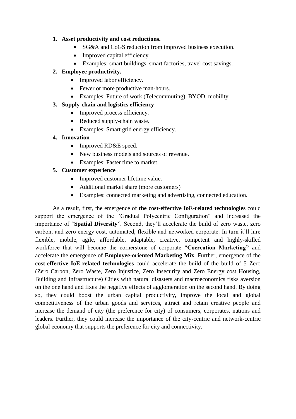## **1. Asset productivity and cost reductions.**

- SG&A and CoGS reduction from improved business execution.
- Improved capital efficiency.
- Examples: smart buildings, smart factories, travel cost savings.

## **2. Employee productivity.**

- Improved labor efficiency.
- Fewer or more productive man-hours.
- Examples: Future of work (Telecommuting), BYOD, mobility

## **3. Supply-chain and logistics efficiency**

- Improved process efficiency.
- Reduced supply-chain waste.
- Examples: Smart grid energy efficiency.

## **4. Innovation**

- Improved RD&E speed.
- New business models and sources of revenue.
- Examples: Faster time to market.

## **5. Customer experience**

- Improved customer lifetime value.
- Additional market share (more customers)
- Examples: connected marketing and advertising, connected education.

As a result, first, the emergence of **the cost-effective IoE-related technologies** could support the emergence of the "Gradual Polycentric Configuration" and increased the importance of "**Spatial Diversity**". Second, they"ll accelerate the build of zero waste, zero carbon, and zero energy cost, automated, flexible and networked corporate. In turn it"ll hire flexible, mobile, agile, affordable, adaptable, creative, competent and highly-skilled workforce that will become the cornerstone of corporate "**Cocreation Marketing"** and accelerate the emergence of **Employee-oriented Marketing Mix**. Further, emergence of the **cost-effective IoE-related technologies** could accelerate the build of the build of 5 Zero (Zero Carbon, Zero Waste, Zero Injustice, Zero Insecurity and Zero Energy cost Housing, Building and Infrastructure) Cities with natural disasters and macroeconomics risks aversion on the one hand and fixes the negative effects of agglomeration on the second hand. By doing so, they could boost the urban capital productivity, improve the local and global competitiveness of the urban goods and services, attract and retain creative people and increase the demand of city (the preference for city) of consumers, corporates, nations and leaders. Further, they could increase the importance of the city-centric and network-centric global economy that supports the preference for city and connectivity.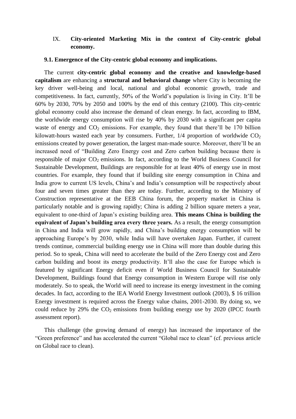## IX. **City-oriented Marketing Mix in the context of City-centric global economy.**

#### **9.1. Emergence of the City-centric global economy and implications.**

The current **city-centric global economy and the creative and knowledge-based capitalism** are enhancing a **structural and behavioral change** where City is becoming the key driver well-being and local, national and global economic growth, trade and competitiveness. In fact, currently, 50% of the World"s population is living in City. It"ll be 60% by 2030, 70% by 2050 and 100% by the end of this century (2100). This city-centric global economy could also increase the demand of clean energy. In fact, according to IBM, the worldwide energy consumption will rise by 40% by 2030 with a significant per capita waste of energy and  $CO<sub>2</sub>$  emissions. For example, they found that there'll be 170 billion kilowatt-hours wasted each year by consumers. Further,  $1/4$  proportion of worldwide  $CO<sub>2</sub>$ emissions created by power generation, the largest man-made source. Moreover, there"ll be an increased need of "Building Zero Energy cost and Zero carbon building because there is responsible of major  $CO_2$  emissions. In fact, according to the World Business Council for Sustainable Development, Buildings are responsible for at least 40% of energy use in most countries. For example, they found that if building site energy consumption in China and India grow to current US levels, China"s and India"s consumption will be respectively about four and seven times greater than they are today. Further, according to the Ministry of Construction representative at the EEB China forum, the property market in China is particularly notable and is growing rapidly; China is adding 2 billion square meters a year, equivalent to one-third of Japan"s existing building area. **This means China is building the equivalent of Japan"s building area every three years.** As a result, the energy consumption in China and India will grow rapidly, and China"s building energy consumption will be approaching Europe"s by 2030, while India will have overtaken Japan. Further, if current trends continue, commercial building energy use in China will more than double during this period. So to speak, China will need to accelerate the build of the Zero Energy cost and Zero carbon building and boost its energy productivity. It"ll also the case for Europe which is featured by significant Energy deficit even if World Business Council for Sustainable Development, Buildings found that Energy consumption in Western Europe will rise only moderately. So to speak, the World will need to increase its energy investment in the coming decades. In fact, according to the IEA World Energy Investment outlook (2003), \$ 16 trillion Energy investment is required across the Energy value chains, 2001-2030. By doing so, we could reduce by 29% the  $CO<sub>2</sub>$  emissions from building energy use by 2020 (IPCC fourth assessment report).

This challenge (the growing demand of energy) has increased the importance of the "Green preference" and has accelerated the current "Global race to clean" (cf. previous article on Global race to clean).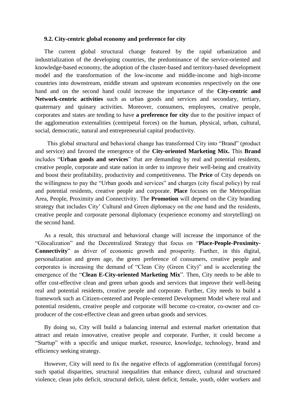#### **9.2. City-centric global economy and preference for city**

The current global structural change featured by the rapid urbanization and industrialization of the developing countries, the predominance of the service-oriented and knowledge-based economy, the adoption of the cluster-based and territory-based development model and the transformation of the low-income and middle-income and high-income countries into downstream, middle stream and upstream economies respectively on the one hand and on the second hand could increase the importance of the **City-centric and Network-centric activities** such as urban goods and services and secondary, tertiary, quaternary and quinary activities. Moreover, consumers, employees, creative people, corporates and states are tending to have **a preference for city** due to the positive impact of the agglomeration externalities (centripetal forces) on the human, physical, urban, cultural, social, democratic, natural and entrepreneurial capital productivity.

This global structural and behavioral change has transformed City into "Brand" (product and service) and favored the emergence of the **City-oriented Marketing Mix.** This **Brand** includes "**Urban goods and services**" that are demanding by real and potential residents, creative people, corporate and state nation in order to improve their well-being and creativity and boost their profitability, productivity and competitiveness. The **Price** of City depends on the willingness to pay the "Urban goods and services" and charges (city fiscal policy) by real and potential residents, creative people and corporate. **Place** focuses on the Metropolitan Area, People, Proximity and Connectivity. The **Promotion** will depend on the City branding strategy that includes City' Cultural and Green diplomacy on the one hand and the residents, creative people and corporate personal diplomacy (experience economy and storytelling) on the second hand.

As a result, this structural and behavioral change will increase the importance of the "Glocalization" and the Decentralized Strategy that focus on "**Place-People-Proximity-Connectivity**" as driver of economic growth and prosperity. Further, in this digital, personalization and green age, the green preference of consumers, creative people and corporates is increasing the demand of "Clean City (Green City)" and is accelerating the emergence of the "**Clean E-City-oriented Marketing Mix**". Then, City needs to be able to offer cost-effective clean and green urban goods and services that improve their well-being real and potential residents, creative people and corporate. Further, City needs to build a framework such as Citizen-centered and People-centered Development Model where real and potential residents, creative people and corporate will become co-creator, co-owner and coproducer of the cost-effective clean and green urban goods and services.

By doing so, City will build a balancing internal and external market orientation that attract and retain innovative, creative people and corporate. Further, it could become a "Startup" with a specific and unique market, resource, knowledge, technology, brand and efficiency seeking strategy.

However, City will need to fix the negative effects of agglomeration (centrifugal forces) such spatial disparities, structural inequalities that enhance direct, cultural and structured violence, clean jobs deficit, structural deficit, talent deficit, female, youth, older workers and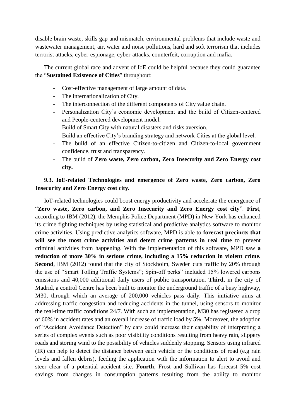disable brain waste, skills gap and mismatch, environmental problems that include waste and wastewater management, air, water and noise pollutions, hard and soft terrorism that includes terrorist attacks, cyber-espionage, cyber-attacks, counterfeit, corruption and mafia.

The current global race and advent of IoE could be helpful because they could guarantee the "**Sustained Existence of Cities**" throughout:

- Cost-effective management of large amount of data.
- The internationalization of City.
- The interconnection of the different components of City value chain.
- Personalization City's economic development and the build of Citizen-centered and People-centered development model.
- Build of Smart City with natural disasters and risks aversion.
- Build an effective City"s branding strategy and network Cities at the global level.
- The build of an effective Citizen-to-citizen and Citizen-to-local government confidence, trust and transparency.
- The build of **Zero waste, Zero carbon, Zero Insecurity and Zero Energy cost city.**

## **9.3. IoE-related Technologies and emergence of Zero waste, Zero carbon, Zero Insecurity and Zero Energy cost city.**

IoT-related technologies could boost energy productivity and accelerate the emergence of "**Zero waste, Zero carbon, and Zero Insecurity and Zero Energy cost city**". **First**, according to IBM (2012), the Memphis Police Department (MPD) in New York has enhanced its crime fighting techniques by using statistical and predictive analytics software to monitor crime activities. Using predictive analytics software, MPD is able to **forecast precincts that will see the most crime activities and detect crime patterns in real time** to prevent criminal activities from happening. With the implementation of this software, MPD saw **a reduction of more 30% in serious crime, including a 15% reduction in violent crime. Second**, IBM (2012) found that the city of Stockholm, Sweden cuts traffic by 20% through the use of "Smart Tolling Traffic Systems"; Spin-off perks" included 15% lowered carbons emissions and 40,000 additional daily users of public transportation. **Third**, in the city of Madrid, a control Centre has been built to monitor the underground traffic of a busy highway, M30, through which an average of 200,000 vehicles pass daily. This initiative aims at addressing traffic congestion and reducing accidents in the tunnel, using sensors to monitor the real-time traffic conditions 24/7. With such an implementation, M30 has registered a drop of 60% in accident rates and an overall increase of traffic load by 5%. Moreover, the adoption of "Accident Avoidance Detection" by cars could increase their capability of interpreting a series of complex events such as poor visibility conditions resulting from heavy rain, slippery roads and storing wind to the possibility of vehicles suddenly stopping. Sensors using infrared (IR) can help to detect the distance between each vehicle or the conditions of road (e.g rain levels and fallen debris), feeding the application with the information to alert to avoid and steer clear of a potential accident site. **Fourth**, Frost and Sullivan has forecast 5% cost savings from changes in consumption patterns resulting from the ability to monitor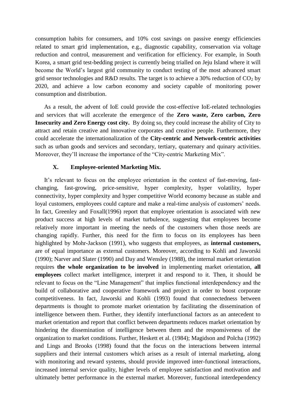consumption habits for consumers, and 10% cost savings on passive energy efficiencies related to smart grid implementation, e.g., diagnostic capability, conservation via voltage reduction and control, measurement and verification for efficiency. For example, in South Korea, a smart grid test-bedding project is currently being trialled on Jeju Island where it will become the World"s largest grid community to conduct testing of the most advanced smart grid sensor technologies and R&D results. The target is to achieve a 30% reduction of  $CO<sub>2</sub>$  by 2020, and achieve a low carbon economy and society capable of monitoring power consumption and distribution.

As a result, the advent of IoE could provide the cost-effective IoE-related technologies and services that will accelerate the emergence of the **Zero waste, Zero carbon, Zero Insecurity and Zero Energy cost city.** By doing so, they could increase the ability of City to attract and retain creative and innovative corporates and creative people. Furthermore, they could accelerate the internationalization of the **City-centric and Network-centric activities** such as urban goods and services and secondary, tertiary, quaternary and quinary activities. Moreover, they"ll increase the importance of the "City-centric Marketing Mix".

#### **X. Employee-oriented Marketing Mix.**

It's relevant to focus on the employee orientation in the context of fast-moving, fastchanging, fast-growing, price-sensitive, hyper complexity, hyper volatility, hyper connectivity, hyper complexity and hyper competitive World economy because as stable and loyal customers, employees could capture and make a real-time analysis of customers' needs. In fact, Greenley and Foxall(1996) report that employee orientation is associated with new product success at high levels of market turbulence, suggesting that employees become relatively more important in meeting the needs of the customers when those needs are changing rapidly. Further, this need for the firm to focus on its employees has been highlighted by Mohr-Jackson (1991), who suggests that employees, as **internal customers,**  are of equal importance as external customers. Moreover, according to Kohli and Jaworski (1990); Narver and Slater (1990) and Day and Wensley (1988), the internal market orientation requires **the whole organization to be involved** in implementing market orientation, **all employees** collect market intelligence, interpret it and respond to it. Then, it should be relevant to focus on the "Line Management" that implies functional interdependency and the build of collaborative and cooperative framework and project in order to boost corporate competitiveness. In fact, Jaworski and Kohli (1993) found that connectedness between departments is thought to promote market orientation by facilitating the dissemination of intelligence between them. Further, they identify interfunctional factors as an antecedent to market orientation and report that conflict between departments reduces market orientation by hindering the dissemination of intelligence between them and the responsiveness of the organization to market conditions. Further, Heskett et al. (1984); Magidson and Polcha (1992) and Lings and Brooks (1998) found that the focus on the interactions between internal suppliers and their internal customers which arises as a result of internal marketing, along with monitoring and reward systems, should provide improved inter-functional interactions, increased internal service quality, higher levels of employee satisfaction and motivation and ultimately better performance in the external market. Moreover, functional interdependency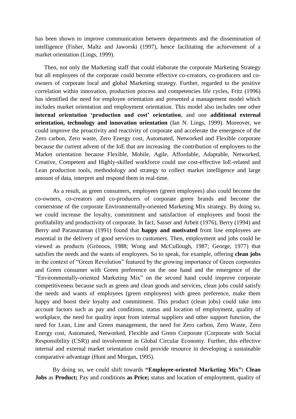has been shown to improve communication between departments and the dissemination of intelligence (Fisher, Maltz and Jaworski (1997), hence facilitating the achievement of a market orientation (Lings, 1999).

Then, not only the Marketing staff that could elaborate the corporate Marketing Strategy but all employees of the corporate could become effective co-creators, co-producers and coowners of corporate local and global Marketing strategy. Further, regarded to the positive correlation within innovation, production process and competencies life cycles, Fritz (1996) has identified the need for employee orientation and presented a management model which includes market orientation and employment orientation. This model also includes one other **internal orientation "production and cost" orientation**, and one **additional external orientation, technology and innovation orientation** (Ian N. Lings, 1999). Moreover, we could improve the proactivity and reactivity of corporate and accelerate the emergence of the Zero carbon, Zero waste, Zero Energy cost, Automated, Networked and Flexible corporate because the current advent of the IoE that are increasing the contribution of employees to the Market orientation because Flexible, Mobile, Agile, Affordable, Adaptable, Networked, Creative, Competent and Highly-skilled workforce could use cost-effective IoE-related and Lean production tools, methodology and strategy to collect market intelligence and large amount of data, interpret and respond them in real-time.

As a result, as green consumers, employees (green employees) also could become the co-owners, co-creators and co-producers of corporate green brands and become the cornerstone of the corporate Environmentally-oriented Marketing Mix strategy. By doing so, we could increase the loyalty, commitment and satisfaction of employees and boost the profitability and productivity of corporate. In fact, Sasser and Arbeit (1976), Berry (1994) and Berry and Parasuraman (1991) found that **happy and motivated** front line employees are essential in the delivery of good services to customers. Then, employment and jobs could be viewed as products (Grönoos, 1988; Wong and McCullough, 1987; George, 1977) that satisfies the needs and the wants of employees. So to speak, for example, offering **clean jobs** in the context of "Green Revolution" featured by the growing importance of Green corporates and Green consumer with Green preference on the one hand and the emergence of the "Environmentally-oriented Marketing Mix" on the second hand could improve corporate competitiveness because such as green and clean goods and services, clean jobs could satisfy the needs and wants of employees (green employees) with green preference, make them happy and boost their loyalty and commitment. This product (clean jobs) could take into account factors such as pay and conditions, status and location of employment, quality of workplace, the need for quality input from internal suppliers and other support function, the need for Lean, Line and Green management, the need for Zero carbon, Zero Waste, Zero Energy cost, Automated, Networked, Flexible and Green Corporate (Corporate with Social Responsibility (CSR)) and involvement in Global Circular Economy. Further, this effective internal and external market orientation could provide resource in developing a sustainable comparative advantage (Hunt and Morgan, 1995).

By doing so, we could shift towards **"Employee-oriented Marketing Mix": Clean Jobs** as **Product**; Pay and conditions **as Price**; status and location of employment, quality of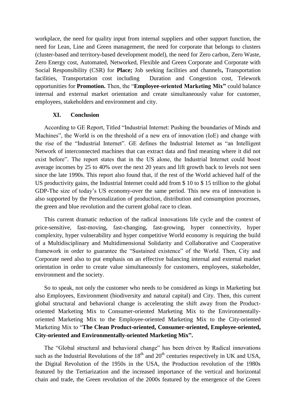workplace, the need for quality input from internal suppliers and other support function, the need for Lean, Line and Green management, the need for corporate that belongs to clusters (cluster-based and territory-based development model), the need for Zero carbon, Zero Waste, Zero Energy cost, Automated, Networked, Flexible and Green Corporate and Corporate with Social Responsibility (CSR) for **Place;** Job seeking facilities and channels**,** Transportation facilities, Transportation cost including Duration and Congestion cost, Telework opportunities for **Promotion.** Then, the "**Employee-oriented Marketing Mix"** could balance internal and external market orientation and create simultaneously value for customer, employees, stakeholders and environment and city.

#### **XI. Conclusion**

According to GE Report, Titled "Industrial Internet: Pushing the boundaries of Minds and Machines", the World is on the threshold of a new era of innovation (IoE) and change with the rise of the "Industrial Internet". GE defines the Industrial Internet as "an Intelligent Network of interconnected machines that can extract data and find meaning where it did not exist before". The report states that in the US alone, the Industrial Internet could boost average incomes by 25 to 40% over the next 20 years and lift growth back to levels not seen since the late 1990s. This report also found that, if the rest of the World achieved half of the US productivity gains, the Industrial Internet could add from \$ 10 to \$ 15 trillion to the global GDP-The size of today"s US economy-over the same period. This new era of innovation is also supported by the Personalization of production, distribution and consumption processes, the green and blue revolution and the current global race to clean.

This current dramatic reduction of the radical innovations life cycle and the context of price-sensitive, fast-moving, fast-changing, fast-growing, hyper connectivity, hyper complexity, hyper vulnerability and hyper competitive World economy is requiring the build of a Multidisciplinary and Multidimensional Solidarity and Collaborative and Cooperative framework in order to guarantee the "Sustained existence" of the World. Then, City and Corporate need also to put emphasis on an effective balancing internal and external market orientation in order to create value simultaneously for customers, employees, stakeholder, environment and the society.

So to speak, not only the customer who needs to be considered as kings in Marketing but also Employees, Environment (biodiversity and natural capital) and City. Then, this current global structural and behavioral change is accelerating the shift away from the Productoriented Marketing Mix to Consumer-oriented Marketing Mix to the Environmentallyoriented Marketing Mix to the Employee-oriented Marketing Mix to the City-oriented Marketing Mix to "**The Clean Product-oriented, Consumer-oriented, Employee-oriented, City-oriented and Environmentally-oriented Marketing Mix".** 

The "Global structural and behavioral change" has been driven by Radical innovations such as the Industrial Revolutions of the  $18<sup>th</sup>$  and  $20<sup>th</sup>$  centuries respectively in UK and USA, the Digital Revolution of the 1950s in the USA, the Production revolution of the 1980s featured by the Tertiarization and the increased importance of the vertical and horizontal chain and trade, the Green revolution of the 2000s featured by the emergence of the Green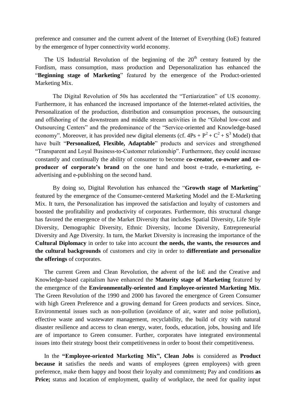preference and consumer and the current advent of the Internet of Everything (IoE) featured by the emergence of hyper connectivity world economy.

The US Industrial Revolution of the beginning of the  $20<sup>th</sup>$  century featured by the Fordism, mass consumption, mass production and Depersonalization has enhanced the "**Beginning stage of Marketing**" featured by the emergence of the Product-oriented Marketing Mix.

The Digital Revolution of 50s has accelerated the "Tertiarization" of US economy. Furthermore, it has enhanced the increased importance of the Internet-related activities, the Personalization of the production, distribution and consumption processes, the outsourcing and offshoring of the downstream and middle stream activities in the "Global low-cost and Outsourcing Centers" and the predominance of the "Service-oriented and Knowledge-based economy". Moreover, it has provided new digital elements (cf.  $4Ps + P^2 + C^2 + S^3$  Model) that have built "**Personalized, Flexible, Adaptable**" products and services and strengthened "Transparent and Loyal Business-to-Customer relationship". Furthermore, they could increase constantly and continually the ability of consumer to become **co-creator, co-owner and coproducer of corporate's brand** on the one hand and boost e-trade, e-marketing, eadvertising and e-publishing on the second hand.

By doing so, Digital Revolution has enhanced the "**Growth stage of Marketing**" featured by the emergence of the Consumer-centered Marketing Model and the E-Marketing Mix. It turn, the Personalization has improved the satisfaction and loyalty of customers and boosted the profitability and productivity of corporates. Furthermore, this structural change has favored the emergence of the Market Diversity that includes Spatial Diversity, Life Style Diversity, Demographic Diversity, Ethnic Diversity, Income Diversity, Entrepreneurial Diversity and Age Diversity. In turn, the Market Diversity is increasing the importance of the **Cultural Diplomacy** in order to take into account **the needs, the wants, the resources and the cultural backgrounds** of customers and city in order to **differentiate and personalize the offerings** of corporates.

The current Green and Clean Revolution, the advent of the IoE and the Creative and Knowledge-based capitalism have enhanced the **Maturity stage of Marketing** featured by the emergence of the **Environmentally-oriented and Employee-oriented Marketing Mix**. The Green Revolution of the 1990 and 2000 has favored the emergence of Green Consumer with high Green Preference and a growing demand for Green products and services. Since, Environmental issues such as non-pollution (avoidance of air, water and noise pollution), effective waste and wastewater management, recyclability, the build of city with natural disaster resilience and access to clean energy, water, foods, education, jobs, housing and life are of importance to Green consumer. Further, corporates have integrated environmental issues into their strategy boost their competitiveness in order to boost their competitiveness.

In the **"Employee-oriented Marketing Mix", Clean Jobs** is considered as **Product because it** satisfies the needs and wants of employees (green employees) with green preference, make them happy and boost their loyalty and commitment**;** Pay and conditions **as Price;** status and location of employment, quality of workplace, the need for quality input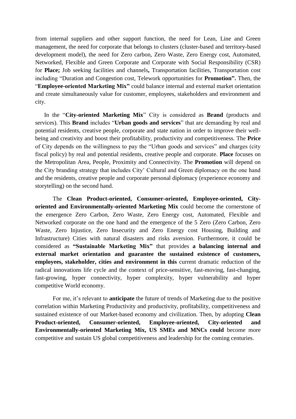from internal suppliers and other support function, the need for Lean, Line and Green management, the need for corporate that belongs to clusters (cluster-based and territory-based development model), the need for Zero carbon, Zero Waste, Zero Energy cost, Automated, Networked, Flexible and Green Corporate and Corporate with Social Responsibility (CSR) for **Place;** Job seeking facilities and channels**,** Transportation facilities, Transportation cost including "Duration and Congestion cost, Telework opportunities for **Promotion".** Then, the "**Employee-oriented Marketing Mix"** could balance internal and external market orientation and create simultaneously value for customer, employees, stakeholders and environment and city.

In the "**City-oriented Marketing Mix**" City is considered as **Brand** (products and services). This **Brand** includes "**Urban goods and services**" that are demanding by real and potential residents, creative people, corporate and state nation in order to improve their wellbeing and creativity and boost their profitability, productivity and competitiveness. The **Price** of City depends on the willingness to pay the "Urban goods and services" and charges (city fiscal policy) by real and potential residents, creative people and corporate. **Place** focuses on the Metropolitan Area, People, Proximity and Connectivity. The **Promotion** will depend on the City branding strategy that includes City" Cultural and Green diplomacy on the one hand and the residents, creative people and corporate personal diplomacy (experience economy and storytelling) on the second hand.

The **Clean Product-oriented, Consumer-oriented, Employee-oriented, Cityoriented and Environmentally-oriented Marketing Mix** could become the cornerstone of the emergence Zero Carbon, Zero Waste, Zero Energy cost, Automated, Flexible and Networked corporate on the one hand and the emergence of the 5 Zero (Zero Carbon, Zero Waste, Zero Injustice, Zero Insecurity and Zero Energy cost Housing, Building and Infrastructure) Cities with natural disasters and risks aversion. Furthermore, it could be considered as **"Sustainable Marketing Mix"** that provides **a balancing internal and external market orientation and guarantee the sustained existence of customers, employees, stakeholder, cities and environment in this** current dramatic reduction of the radical innovations life cycle and the context of price-sensitive, fast-moving, fast-changing, fast-growing, hyper connectivity, hyper complexity, hyper vulnerability and hyper competitive World economy.

For me, it's relevant to **anticipate** the future of trends of Marketing due to the positive correlation within Marketing Productivity and productivity, profitability, competitiveness and sustained existence of our Market-based economy and civilization. Then, by adopting **Clean Product-oriented, Consumer-oriented, Employee-oriented, City-oriented and Environmentally-oriented Marketing Mix, US SMEs and MNCs could** become more competitive and sustain US global competitiveness and leadership for the coming centuries.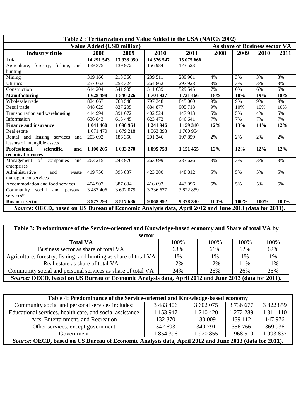| Table 2: Tertiarization and Value Added in the USA (NAICS 2002)                                       |               |                                  |            |               |      |      |                                |      |
|-------------------------------------------------------------------------------------------------------|---------------|----------------------------------|------------|---------------|------|------|--------------------------------|------|
|                                                                                                       |               | <b>Value Added (USD million)</b> |            |               |      |      | As share of Business sector VA |      |
| <b>Industry tittle</b>                                                                                | 2008          | 2009                             | 2010       | 2011          | 2008 | 2009 | 2010                           | 2011 |
| Total                                                                                                 | 14 291 543    | 13 938 950                       | 14 526 547 | 15 075 666    |      |      |                                |      |
| Agriculture, forestry, fishing,<br>and                                                                | 159 375       | 139 972                          | 156 984    | 173 523       |      |      |                                |      |
| hunting                                                                                               |               |                                  |            |               |      |      |                                |      |
| Mining                                                                                                | 319 166       | 213 366                          | 239 511    | 289 901       | 4%   | 3%   | 3%                             | 3%   |
| <b>Utilities</b>                                                                                      | 257 663       | 258 324                          | 264 862    | 297 928       | 3%   | 3%   | 3%                             | 3%   |
| Construction                                                                                          | 614 204       | 541 905                          | 511 639    | 529 545       | 7%   | 6%   | 6%                             | 6%   |
| <b>Manufacturing</b>                                                                                  | 1 628 498     | 1 540 226                        | 1701937    | 1731466       | 18%  | 18%  | 19%                            | 18%  |
| Wholesale trade                                                                                       | 824 067       | 768 548                          | 797 348    | 845 060       | 9%   | 9%   | 9%                             | 9%   |
| Retail trade                                                                                          | 848 629       | 837 205                          | 884 877    | 905 718       | 9%   | 10%  | 10%                            | 10%  |
| Transportation and warehousing                                                                        | 414 994       | 391 672                          | 402 524    | 447 913       | 5%   | 5%   | 4%                             | 5%   |
| Information                                                                                           | 636 843       | 615 445                          | 623 472    | 646 641       | 7%   | 7%   | 7%                             | 7%   |
| <b>Finance and insurance</b>                                                                          | 1 041 460     | 1 098 964                        | 1 241 946  | 1 159 310     | 12%  | 13%  | 14%                            | 12%  |
| Real estate                                                                                           | 1 671 470     | 1 679 218                        | 1563893    | 1700954       |      |      |                                |      |
| Rental and leasing services<br>and                                                                    | 203 692       | 186 350                          | 201 346    | 197 859       | 2%   | 2%   | 2%                             | 2%   |
| lessors of intangible assets                                                                          |               |                                  |            |               |      |      |                                |      |
| Professional,<br>scientific,<br>and                                                                   | 1 100 205     | 1 033 270                        | 1 095 758  | 1 1 5 1 4 5 5 | 12%  | 12%  | 12%                            | 12%  |
| technical services                                                                                    |               |                                  |            |               |      |      |                                |      |
| of companies<br>Management<br>and                                                                     | 263 215       | 248 970                          | 263 699    | 283 626       | 3%   | 3%   | 3%                             | 3%   |
| enterprises                                                                                           |               |                                  |            |               |      |      |                                |      |
| Administrative<br>and<br>waste                                                                        | 419750        | 395 837                          | 423 380    | 448 812       | 5%   | 5%   | 5%                             | 5%   |
| management services                                                                                   |               |                                  |            |               |      |      |                                |      |
| Accommodation and food services                                                                       | 404 907       | 387 604                          | 416 693    | 443 096       | 5%   | 5%   | 5%                             | 5%   |
| Community social and personal                                                                         | 3 4 8 3 4 0 6 | 3 602 075                        | 3 736 677  | 3 822 859     |      |      |                                |      |
| services*                                                                                             |               |                                  |            |               |      |      |                                |      |
| <b>Business sector</b>                                                                                | 8 977 293     | 8 5 1 7 6 8 6                    | 9 068 992  | 9 378 330     | 100% | 100% | 100%                           | 100% |
| Source: OECD, based on US Bureau of Economic Analysis data, April 2012 and June 2013 (data for 2011). |               |                                  |            |               |      |      |                                |      |

| Table 3: Predominance of the Service-oriented and Knowledge-based economy and Share of total VA by    |      |      |      |      |  |  |  |
|-------------------------------------------------------------------------------------------------------|------|------|------|------|--|--|--|
| sector                                                                                                |      |      |      |      |  |  |  |
| <b>Total VA</b>                                                                                       | 100% | 100% | 100% | 100% |  |  |  |
| Business sector as share of total VA                                                                  | 63%  | 61%  | 62%  | 62%  |  |  |  |
| Agriculture, forestry, fishing, and hunting as share of total VA                                      | 1%   | 1%   | 1%   | 1%   |  |  |  |
| Real estate as share of total VA                                                                      | 12%  | 12%  | 11%  | 11%  |  |  |  |
| Community social and personal services as share of total VA                                           | 24%  | 26%  | 26%  | 25%  |  |  |  |
| Source: OECD, based on US Bureau of Economic Analysis data, April 2012 and June 2013 (data for 2011). |      |      |      |      |  |  |  |

| Table 4: Predominance of the Service-oriented and Knowledge-based economy                             |               |             |           |                 |  |  |  |
|-------------------------------------------------------------------------------------------------------|---------------|-------------|-----------|-----------------|--|--|--|
| Community social and personal services includes:                                                      | 3 4 8 3 4 0 6 | 3 602 075   | 3 736 677 | 3 822 859       |  |  |  |
| Educational services, health care, and social assistance                                              | 1 153 947     | 1 210 420   | 1 272 289 | 1 3 1 1 1 1 1 0 |  |  |  |
| Arts, Entertainment, and Recreation                                                                   | 132 370       | 130 009     | 139 112   | 147 976         |  |  |  |
| Other services, except government                                                                     | 342 693       | 340 791     | 356 766   | 369 936         |  |  |  |
| Government                                                                                            | 1854396       | 1 9 20 8 55 | 1968 510  | 1993837         |  |  |  |
| Source: OECD, based on US Bureau of Economic Analysis data, April 2012 and June 2013 (data for 2011). |               |             |           |                 |  |  |  |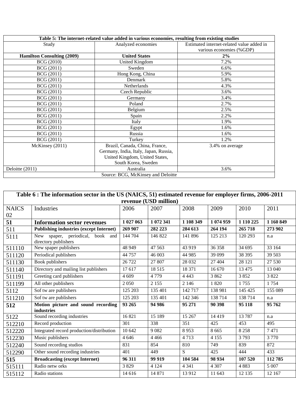| Table 5: The internet-related value added in various economies, resulting from existing studies |                                       |                                           |  |  |  |  |
|-------------------------------------------------------------------------------------------------|---------------------------------------|-------------------------------------------|--|--|--|--|
| Study                                                                                           | Analyzed economies                    | Estimated internet-related value added in |  |  |  |  |
|                                                                                                 |                                       | various economies (%GDP)                  |  |  |  |  |
| <b>Hamilton Consulting (2009)</b>                                                               | <b>United States</b>                  | 2%                                        |  |  |  |  |
| <b>BCG</b> (2010)                                                                               | United Kingdom                        | 7.2%                                      |  |  |  |  |
| <b>BCG</b> (2011)                                                                               | Sweden                                | 6.6%                                      |  |  |  |  |
| <b>BCG</b> (2011)                                                                               | Hong Kong, China                      | 5.9%                                      |  |  |  |  |
| <b>BCG</b> (2011)                                                                               | Denmark                               | 5.8%                                      |  |  |  |  |
| <b>BCG</b> (2011)                                                                               | <b>Netherlands</b>                    | 4.3%                                      |  |  |  |  |
| <b>BCG</b> (2011)                                                                               | Czech Republic                        | 3.6%                                      |  |  |  |  |
| <b>BCG</b> (2011)                                                                               | Germany                               | 3.4%                                      |  |  |  |  |
| <b>BCG</b> (2011)                                                                               | Poland                                | 2.7%                                      |  |  |  |  |
| <b>BCG</b> (2011)                                                                               | Belgium                               | 2.5%                                      |  |  |  |  |
| <b>BCG</b> (2011)                                                                               | Spain                                 | 2.2%                                      |  |  |  |  |
| <b>BCG</b> (2011)                                                                               | Italy                                 | 1.9%                                      |  |  |  |  |
| <b>BCG</b> (2011)                                                                               | Egypt                                 | 1.6%                                      |  |  |  |  |
| <b>BCG</b> (2011)                                                                               | Russia                                | 1.6%                                      |  |  |  |  |
| <b>BCG</b> (2011)                                                                               | Turkey                                | 1.2%                                      |  |  |  |  |
| McKinsey (2011)                                                                                 | Brazil, Canada, China, France,        | 3.4% on average                           |  |  |  |  |
|                                                                                                 | Germany, India, Italy, Japan, Russia, |                                           |  |  |  |  |
|                                                                                                 | United Kingdom, United States,        |                                           |  |  |  |  |
|                                                                                                 | South Korea, Sweden                   |                                           |  |  |  |  |
| Deloitte (2011)                                                                                 | Australia                             | 3.6%                                      |  |  |  |  |
|                                                                                                 | Source: BCG, McKinsey and Deloitte    |                                           |  |  |  |  |

| Table 6 : The information sector in the US (NAICS, 51) estimated revenue for employer firms, 2006-2011 |                                                          |           |                       |           |           |           |           |  |  |
|--------------------------------------------------------------------------------------------------------|----------------------------------------------------------|-----------|-----------------------|-----------|-----------|-----------|-----------|--|--|
|                                                                                                        |                                                          |           | revenue (USD million) |           |           |           |           |  |  |
| <b>NAICS</b>                                                                                           | Industries                                               | 2006      | 2007                  | 2008      | 2009      | 2010      | 2011      |  |  |
| 02                                                                                                     |                                                          |           |                       |           |           |           |           |  |  |
| 51                                                                                                     | <b>Information sector revenues</b>                       | 1 027 063 | 1 072 341             | 1 108 349 | 1 074 959 | 1 110 225 | 1 160 849 |  |  |
| 511                                                                                                    | <b>Publishing industries (except Internet)</b>           | 269 907   | 282 223               | 284 613   | 264 194   | 265 718   | 273 902   |  |  |
| 5111                                                                                                   | New spaper, periodical, book and<br>directory publishers | 144 704   | 146 822               | 141 896   | 125 213   | 120 293   | n.a       |  |  |
| 511110                                                                                                 | New spaper publishers                                    | 48 949    | 47 5 63               | 43 9 19   | 36 358    | 34 695    | 33 164    |  |  |
| 511120                                                                                                 | Periodical publishers                                    | 44 757    | 46 003                | 44 985    | 39 0 99   | 38 39 5   | 39 503    |  |  |
| 511130                                                                                                 | Book publishers                                          | 26 722    | 27 807                | 28 0 32   | 27 404    | 28 121    | 27 530    |  |  |
| 511140                                                                                                 | Directory and mailing list publishers                    | 17617     | 18 5 15               | 18 371    | 16 670    | 13 4 75   | 13 040    |  |  |
| 511191                                                                                                 | Greeting card publishers                                 | 4 6 0 9   | 4 7 7 9               | 4 4 4 3   | 3 8 6 2   | 3852      | 3 8 2 2   |  |  |
| 511199                                                                                                 | All other publishers                                     | 2 0 5 0   | 2 1 5 5               | 2 1 4 6   | 1820      | 1755      | 1754      |  |  |
| 5112                                                                                                   | Sof tw are publishers                                    | 125 203   | 135 401               | 142 717   | 138 981   | 145 425   | 155 089   |  |  |
| 511210                                                                                                 | Sof tw are publishers                                    | 125 203   | 135 401               | 142 346   | 138 714   | 138714    | n.a       |  |  |
| 512                                                                                                    | Motion picture and sound recording<br>industries         | 93 265    | 94 986                | 95 271    | 90 398    | 95 118    | 95 762    |  |  |
| 5122                                                                                                   | Sound recording industries                               | 16821     | 15 189                | 15 267    | 14 4 19   | 13787     | n.a       |  |  |
| 512210                                                                                                 | Record production                                        | 301       | 338                   | 351       | 425       | 453       | 495       |  |  |
| 512220                                                                                                 | Integrated record production/distribution                | 10 642    | 9082                  | 8953      | 8 6 6 5   | 8 2 5 8   | 7471      |  |  |
| 512230                                                                                                 | Music publishers                                         | 4 6 4 6   | 4 4 6 6               | 4713      | 4 1 5 5   | 3793      | 3770      |  |  |
| 512240                                                                                                 | Sound recording studios                                  | 831       | 854                   | 810       | 749       | 839       | 872       |  |  |
| 512290                                                                                                 | Other sound recording industries                         | 401       | 449                   | S         | 425       | 444       | 433       |  |  |
| 515                                                                                                    | <b>Broadcasting (except Internet)</b>                    | 96 311    | 99 919                | 104 584   | 98 934    | 107 520   | 112785    |  |  |
| 515111                                                                                                 | Radio netw orks                                          | 3829      | 4 1 2 4               | 4 3 4 1   | 4 3 0 7   | 4883      | 5 0 0 7   |  |  |
| 515112                                                                                                 | Radio stations                                           | 14 616    | 14 871                | 13 9 12   | 11 643    | 12 135    | 12 167    |  |  |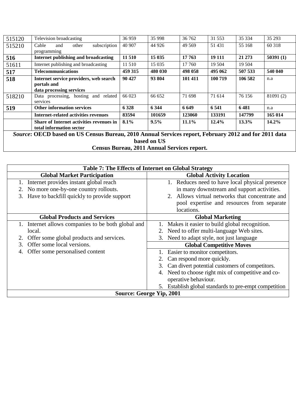| 515120 | Television broadcasting                                                           | 36 959                                                                             | 35 998         | 36 762               | 31 553                            | 35 334       | 35 29 3  |
|--------|-----------------------------------------------------------------------------------|------------------------------------------------------------------------------------|----------------|----------------------|-----------------------------------|--------------|----------|
| 515210 | subscription<br>Cable<br>other<br>and                                             | 40 907                                                                             | 44 9 26        | 49 5 69              | 51 431                            | 55 168       | 60 318   |
|        | programming                                                                       |                                                                                    |                |                      |                                   |              |          |
| 516    | Internet publishing and broadcasting                                              | 11 510                                                                             | 15 035         | 17 763               | 19 111                            | 21 273       | 50391(1) |
| 51611  | Internet publishing and broadcasting                                              | 11 510                                                                             | 15 0 35        | 17 760               | 19 504                            | 19 504       |          |
| 517    | <b>Telecommunications</b>                                                         | 459 315                                                                            | 480 030        | 498 058              | 495 062                           | 507 533      | 540 040  |
| 518    | Internet service providers, web search<br>portals and<br>data processing services | 90 427                                                                             | 93 804         | 101 411              | 100 719                           | 106 582      | n.a      |
| 518210 | Data processing, hosting and related<br>services                                  | 66 023                                                                             | 66 652         | 71 698               | 71 614                            | 76 156       | 81091(2) |
| 519    | <b>Other information services</b>                                                 | 6 3 2 8                                                                            | 6 3 4 4        | 6649                 | 6 5 4 1                           | 6481         | n.a      |
|        | <b>Internet-related activities revenues</b>                                       | 83594                                                                              | 101659         | 123060               | 133191                            | 147799       | 165 014  |
|        | <b>Share of Internet activities revenues in</b><br>total information sector       | 8.1%                                                                               | $9.5\%$        | $11.1\%$             | 12.4%                             | 13.3%        | $14.2\%$ |
| $\sim$ | $\alpha$<br>$\blacksquare$                                                        | $\begin{array}{ccc}\n\bullet & \bullet & \bullet & \bullet & \bullet\n\end{array}$ | $\blacksquare$ | $\sim$ $\sim$ $\sim$ | $\bullet \bullet \bullet \bullet$ | $\mathbf{r}$ |          |

*Source***: OECD based on US Census Bureau, 2010 Annual Services report, February 2012 and for 2011 data based on US**

**Census Bureau, 2011 Annual Services report.**

| Table 7: The Effects of Internet on Global Strategy |                                                          |  |  |  |  |
|-----------------------------------------------------|----------------------------------------------------------|--|--|--|--|
| <b>Global Market Participation</b>                  | <b>Global Activity Location</b>                          |  |  |  |  |
| Internet provides instant global reach              | 1. Reduces need to have local physical presence          |  |  |  |  |
| 2. No more one-by-one country rollouts.             | in many downstream and support activities.               |  |  |  |  |
| Have to backfill quickly to provide support<br>3.   | 2. Allows virtual networks that concentrate and          |  |  |  |  |
|                                                     | pool expertise and resources from separate               |  |  |  |  |
|                                                     | locations.                                               |  |  |  |  |
| <b>Global Products and Services</b>                 | <b>Global Marketing</b>                                  |  |  |  |  |
| 1. Internet allows companies to be both global and  | Makes it easier to build global recognition.             |  |  |  |  |
| local.                                              | 2. Need to offer multi-language Web sites.               |  |  |  |  |
| 2. Offer some global products and services.         | 3. Need to adapt style, not just language                |  |  |  |  |
| Offer some local versions.                          | <b>Global Competitive Moves</b>                          |  |  |  |  |
| Offer some personalised content                     | Easier to monitor competitors.                           |  |  |  |  |
|                                                     | Can respond more quickly.                                |  |  |  |  |
|                                                     | Can divert potential customers of competitors.<br>3.     |  |  |  |  |
|                                                     | Need to choose right mix of competitive and co-<br>4.    |  |  |  |  |
|                                                     | operative behaviour.                                     |  |  |  |  |
|                                                     | Establish global standards to pre-empt competition<br>5. |  |  |  |  |
|                                                     | <b>Source: George Yip, 2001</b>                          |  |  |  |  |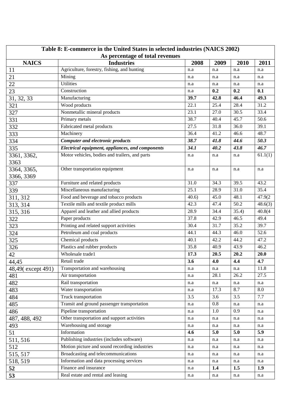| Table 8: E-commerce in the United States in selected industries (NAICS 2002) |                                                  |           |      |       |                      |  |  |
|------------------------------------------------------------------------------|--------------------------------------------------|-----------|------|-------|----------------------|--|--|
| As percentage of total revenues                                              |                                                  |           |      |       |                      |  |  |
| <b>NAICS</b>                                                                 | <b>Industries</b>                                | 2008      | 2009 | 2010  | 2011                 |  |  |
| 11                                                                           | Agriculture, forestry, fishing, and hunting      | n.a       | n.a  | n.a   | n.a                  |  |  |
| 21                                                                           | Mining                                           | n.a       | n.a  | n.a   | n.a                  |  |  |
| 22                                                                           | <b>Utilities</b>                                 | n.a       | n.a  | n.a   | n.a                  |  |  |
| 23                                                                           | Construction                                     | n.a       | 0.2  | 0.2   | 0.1                  |  |  |
| 31, 32, 33                                                                   | Manufacturing                                    | 39.7      | 42.8 | 46.4  | 49.3                 |  |  |
| 321                                                                          | Wood products                                    | 22.1      | 25.4 | 28.4  | 31.2                 |  |  |
| 327                                                                          | Nonmetallic mineral products                     | 23.1      | 27.0 | 30.5  | 33.4                 |  |  |
| 331                                                                          | Primary metals                                   | 38.7      | 40.4 | 45.7  | 50.6                 |  |  |
| 332                                                                          | Fabricated metal products                        | 27.5      | 31.8 | 36.0  | 39.1                 |  |  |
| 333                                                                          | Machinery                                        | 36.4      | 41.2 | 46.6  | 48.7                 |  |  |
| 334                                                                          | <b>Computer and electronic products</b>          | 38.7      | 41.8 | 44.6  | 50.3                 |  |  |
| 335                                                                          | Electrical equipment, appliances, and components | 34.1      | 40.2 | 43.8  | 46.7                 |  |  |
| 3361, 3362,                                                                  | Motor vehicles, bodies and trailers, and parts   | n.a       | n.a  | n.a   | 61.1(1)              |  |  |
| 3363                                                                         |                                                  |           |      |       |                      |  |  |
| 3364, 3365,                                                                  | Other transportation equipment                   | n.a       | n.a  | n.a   | n.a                  |  |  |
| 3366, 3369                                                                   |                                                  |           |      |       |                      |  |  |
| 337                                                                          | Furniture and related products                   | 31.0      | 34.3 | 39.5  | 43.2                 |  |  |
| 339                                                                          | Miscellaneous manufacturing                      | 25.1      | 28.9 | 31.0  | 35.4                 |  |  |
| 311, 312                                                                     | Food and beverage and tobacco products           | 40.6      | 45.0 | 48.1  | 47.9(2               |  |  |
| 313, 314                                                                     | Textile mills and textile product mills          | 42.3      | 47.4 | 50.2  | $\overline{48.6(3)}$ |  |  |
| 315, 316                                                                     | Apparel and leather and allied products          | 28.9      | 34.4 | 35.4) | 40.8(4)              |  |  |
| 322                                                                          | Paper products                                   | 37.8      | 42.9 | 46.5  | 49.4                 |  |  |
| 323                                                                          | Printing and related support activities          | 30.4      | 31.7 | 35.2  | 39.7                 |  |  |
| 324                                                                          | Petroleum and coal products                      | 44.1      | 44.3 | 46.0  | 52.6                 |  |  |
| 325                                                                          | Chemical products                                | 40.1      | 42.2 | 44.2  | 47.2                 |  |  |
| 326                                                                          | Plastics and rubber products                     | 35.8      | 40.9 | 43.9  | 46.2                 |  |  |
| 42                                                                           | Wholesale trade1                                 | 17.3      | 20.5 | 20.2  | 20.0                 |  |  |
| 44,45                                                                        | Retail trade                                     | 3.6       | 4.0  | 4,4   | 4.7                  |  |  |
| 48,49(except 491)                                                            | Transportation and warehousing                   | n.a       | n.a  | n.a   | 11.8                 |  |  |
| 481                                                                          | Air transportation                               | n.a       | 28.1 | 26.2  | 27.5                 |  |  |
| 482                                                                          | Rail transportation                              | n.a       | n.a  | n.a   | n.a                  |  |  |
| 483                                                                          | Water transportation                             | $\rm n.a$ | 17.3 | 8.7   | 8.0                  |  |  |
| 484                                                                          | Truck transportation                             | 3.5       | 3.6  | 3.5   | 7.7                  |  |  |
| 485                                                                          | Transit and ground passenger transportation      | n.a       | 0.8  | n.a   | n.a                  |  |  |
| 486                                                                          | Pipeline transportation                          | n.a       | 1.0  | 0.9   | n.a                  |  |  |
| 487, 488, 492                                                                | Other transportation and support activities      | n.a       | n.a  | n.a   | n.a                  |  |  |
| 493                                                                          | Warehousing and storage                          | n.a       | n.a  | n.a   | n.a                  |  |  |
| 51                                                                           | Information                                      | 4.6       | 5.0  | 5.0   | 5.9                  |  |  |
| 511, 516                                                                     | Publishing industries (includes software)        | n.a       | n.a  | n.a   | n.a                  |  |  |
| 512                                                                          | Motion picture and sound recording industries    | n.a       | n.a  | n.a   | n.a                  |  |  |
| 515, 517                                                                     | Broadcasting and telecommunications              | n.a       | n.a  | n.a   | n.a                  |  |  |
| 518, 519                                                                     | Information and data processing services         | n.a       | n.a  | n.a   | n.a                  |  |  |
| 52                                                                           | Finance and insurance                            | n.a       | 1.4  | 1.5   | 1.9                  |  |  |
| 53                                                                           | Real estate and rental and leasing               | n.a       | n.a  | n.a   | n.a                  |  |  |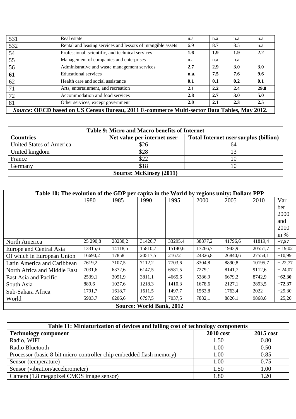| 531                                                                                         | Real estate                                                  | n.a  | n.a | n.a        | n.a         |  |
|---------------------------------------------------------------------------------------------|--------------------------------------------------------------|------|-----|------------|-------------|--|
| 532                                                                                         | Rental and leasing services and lessors of intangible assets | 6.9  | 8.7 | 8.5        | n.a         |  |
| 54                                                                                          | Professional, scientific, and technical services             | 1.6  | 1.9 | 1.9        | 2.2         |  |
| 55                                                                                          | Management of companies and enterprises                      | n.a  | n.a | n.a        |             |  |
| 56                                                                                          | Administrative and waste management services                 | 2.7  | 2.9 | <b>3.0</b> | <b>3.0</b>  |  |
| 61                                                                                          | <b>Educational services</b>                                  | n.a. | 7.5 | 7.6        | 9.6         |  |
| 62                                                                                          | Health care and social assistance                            | 0.1  | 0.1 | 0.2        | 0.1         |  |
| 71                                                                                          | Arts, entertainment, and recreation                          | 2.1  | 2.2 | 2.4        | <b>29.0</b> |  |
| 72                                                                                          | Accommodation and food services                              | 2.8  | 2.7 | 3.0        | 5.0         |  |
| 81                                                                                          | Other services, except government                            | 2.0  | 2.1 | 2.3        | 2.5         |  |
| Source: OECD based on US Census Bureau, 2011 E-commerce Multi-sector Data Tables, May 2012. |                                                              |      |     |            |             |  |

| Table 9: Micro and Macro benefits of Internet |                             |                                              |  |  |  |
|-----------------------------------------------|-----------------------------|----------------------------------------------|--|--|--|
| <b>Countries</b>                              | Net value per internet user | <b>Total Internet user surplus (billion)</b> |  |  |  |
| <b>United States of America</b>               | \$26                        |                                              |  |  |  |
| United kingdom                                | \$28                        |                                              |  |  |  |
| France                                        | \$22                        |                                              |  |  |  |
| Germany                                       | \$18                        |                                              |  |  |  |
| <b>Source: McKinsey (2011)</b>                |                             |                                              |  |  |  |

| Table 10: The evolution of the GDP per capita in the World by regions unity: Dollars PPP |          |         |         |         |         |         |         |          |  |
|------------------------------------------------------------------------------------------|----------|---------|---------|---------|---------|---------|---------|----------|--|
|                                                                                          | 1980     | 1985    | 1990    | 1995    | 2000    | 2005    | 2010    | Var      |  |
|                                                                                          |          |         |         |         |         |         |         | bet      |  |
|                                                                                          |          |         |         |         |         |         |         | 2000     |  |
|                                                                                          |          |         |         |         |         |         |         | and      |  |
|                                                                                          |          |         |         |         |         |         |         | 2010     |  |
|                                                                                          |          |         |         |         |         |         |         | in $%$   |  |
| North America                                                                            | 25 290,8 | 28238,2 | 31426,7 | 33295,4 | 38877,2 | 41796,6 | 41819,4 | $+7,57$  |  |
| Europe and Central Asia                                                                  | 13315,6  | 14118,5 | 15810,7 | 15140,6 | 17266,7 | 1943,9  | 20551,7 | $+19,02$ |  |
| Of which in European Union                                                               | 16690,2  | 17858   | 20517,5 | 21672   | 24826,8 | 26840,6 | 27554,1 | $+10,99$ |  |
| Latin America and Caribbean                                                              | 7619,2   | 7107,5  | 7112,2  | 7703,6  | 8304,8  | 8890,8  | 10195,7 | $+22,77$ |  |
| North Africa and Middle East                                                             | 7031,6   | 6372,6  | 6147,5  | 6581,5  | 7279,1  | 8141,7  | 9112,6  | $+24,07$ |  |
| East Asia and Pacific                                                                    | 2539,1   | 3051,9  | 3811,1  | 4665,6  | 5386,9  | 6679,2  | 8742,9  | $+62,30$ |  |
| South Asia                                                                               | 889,6    | 1027,6  | 1218,3  | 1410,3  | 1678,6  | 2127,1  | 2893,5  | $+72,37$ |  |
| Sub-Sahara Africa                                                                        | 1791,7   | 1618,7  | 1611,5  | 1497,7  | 1563,8  | 1763,4  | 2022    | $+29,30$ |  |
| World                                                                                    | 5903,7   | 6206,6  | 6797,5  | 7037,5  | 7882,1  | 8826,1  | 9868,6  | $+25,20$ |  |
| <b>Source: World Bank, 2012</b>                                                          |          |         |         |         |         |         |         |          |  |

| Table 11: Miniaturization of devices and falling cost of technology components |      |      |  |  |  |  |  |  |
|--------------------------------------------------------------------------------|------|------|--|--|--|--|--|--|
| <b>2010 cost</b><br>2015 cost<br><b>Technology component</b>                   |      |      |  |  |  |  |  |  |
| Radio, WIFI                                                                    | 1.50 | 0.80 |  |  |  |  |  |  |
| Radio Bluetooth                                                                | 1.00 | 0.50 |  |  |  |  |  |  |
| Processor (basic 8-bit micro-controller chip embedded flash memory)            | 1.00 | 0.85 |  |  |  |  |  |  |
| Sensor (temperature)                                                           | 1.00 | 0.75 |  |  |  |  |  |  |
| Sensor (vibration/accelerometer)                                               | 1.50 | 1.00 |  |  |  |  |  |  |
| Camera (1.8 megapixel CMOS image sensor)                                       | 1.80 | 1.20 |  |  |  |  |  |  |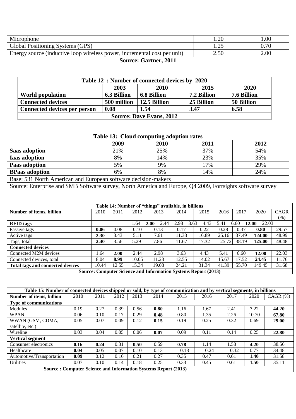| Microphone                                                               | .20        | .00. |  |  |  |  |
|--------------------------------------------------------------------------|------------|------|--|--|--|--|
| Global Positioning Systems (GPS)                                         | $\cap$<br> | 0.70 |  |  |  |  |
| Energy source (inductive loop wireless power, incremental cost per unit) | 2.50       | 2.00 |  |  |  |  |
| <b>Source: Gartner, 2011</b>                                             |            |      |  |  |  |  |

| Table 12: Number of connected devices by 2020                                       |                    |                    |             |             |  |  |  |  |  |
|-------------------------------------------------------------------------------------|--------------------|--------------------|-------------|-------------|--|--|--|--|--|
| 2020<br>2015<br>2003<br>2010                                                        |                    |                    |             |             |  |  |  |  |  |
| <b>World population</b>                                                             | <b>6.3 Billion</b> | <b>6.8 Billion</b> | 7.2 Billion | 7.6 Billion |  |  |  |  |  |
| 12.5 Billion<br>25 Billion<br>50 Billion<br><b>Connected devices</b><br>500 million |                    |                    |             |             |  |  |  |  |  |
| 3.47<br>0.08<br>6.58<br>Connected devices per person<br>1.54                        |                    |                    |             |             |  |  |  |  |  |
| <b>Source: Dave Evans, 2012</b>                                                     |                    |                    |             |             |  |  |  |  |  |

| Table 13: Cloud computing adoption rates                                                                  |     |     |     |     |  |  |  |  |  |  |
|-----------------------------------------------------------------------------------------------------------|-----|-----|-----|-----|--|--|--|--|--|--|
| 2009<br>2011<br>2012<br>2010                                                                              |     |     |     |     |  |  |  |  |  |  |
| <b>Saas adoption</b>                                                                                      | 21% | 25% | 37% | 54% |  |  |  |  |  |  |
| <b>Iaas adoption</b>                                                                                      | 8%  | 14% | 23% | 35% |  |  |  |  |  |  |
| Paas adoption                                                                                             | 5%  | 9%  | 17% | 29% |  |  |  |  |  |  |
| 24%<br>8%<br>14%<br><b>BPaas adoption</b><br>6%                                                           |     |     |     |     |  |  |  |  |  |  |
| Base: 531 North American and European software decision-makers                                            |     |     |     |     |  |  |  |  |  |  |
| Source: Enterprise and SMB Software survey, North America and Europe, Q4 2009, Forrsights software survey |     |     |     |     |  |  |  |  |  |  |

| Table 14: Number of "things" available, in billions                   |       |       |       |              |              |       |       |       |                |       |
|-----------------------------------------------------------------------|-------|-------|-------|--------------|--------------|-------|-------|-------|----------------|-------|
| Number of items, billion                                              | 2010  | 2011  | 2012  | 2013         | 2014         | 2015  | 2016  | 2017  | 2020           | CAGR  |
|                                                                       |       |       |       |              |              |       |       |       |                | (% )  |
| <b>RFID</b> tags                                                      |       |       | 1.64  | 2.00<br>2.44 | 2.98<br>3.63 | 4.43  | 5.41  | 6.60  | 12.00<br>22.03 |       |
| Passive tags                                                          | 0.06  | 0.08  | 0.10  | 0.13         | 0.17         | 0.22  | 0.28  | 0.37  | 0.80           | 29.57 |
| Active tags                                                           | 2.30  | 3.43  | 5.11  | 7.61         | 11.33        | 16.89 | 25.16 | 37.49 | 124.00         | 48.99 |
| Tags, total                                                           | 2.40  | 3.56  | 5.29  | 7.86         | 11.67        | 17.32 | 25.72 | 38.19 | 125.00         | 48.48 |
| <b>Connected devices</b>                                              |       |       |       |              |              |       |       |       |                |       |
| Connected M2M devices                                                 | .64   | 2.00  | 2.44  | 2.98         | 3.63         | 4.43  | 5.41  | 6.60  | 12.00          | 22.03 |
| Connected devices, total                                              | 8.04  | 8.99  | 10.05 | 11.23        | 12.55        | 14.02 | 15.67 | 17.52 | 24.45          | 11.76 |
| <b>Total tags and connected devices</b>                               | 10.44 | 12.55 | 15.34 | 19.08        | 24.21        | 31.34 | 41.39 | 55.70 | 149.45         | 31.68 |
| <b>Source: Computer Science and Information Systems Report (2013)</b> |       |       |       |              |              |       |       |       |                |       |

| Table 15: Number of connected devices shipped or sold, by type of communication and by vertical segments, in billions |      |      |      |      |      |      |      |      |       |               |
|-----------------------------------------------------------------------------------------------------------------------|------|------|------|------|------|------|------|------|-------|---------------|
| Number of items, billion                                                                                              | 2010 | 2011 | 2012 | 2013 | 2014 | 2015 | 2016 | 2017 | 2020  | $CAGR$ $(\%)$ |
| <b>Type of communications</b>                                                                                         |      |      |      |      |      |      |      |      |       |               |
| Modules                                                                                                               | 0.19 | 0.27 | 0.39 | 0.56 | 0.80 | 1.16 | 1.67 | 2.41 | 7.22  | 44.20         |
| <b>WPAN</b>                                                                                                           | 0.06 | 0.10 | 0.17 | 0.29 | 0.48 | 0.80 | 1.35 | 2.26 | 10.70 | 67.80         |
| WWAN (GSM, CDMA,                                                                                                      | 0.05 | 0.07 | 0.09 | 0.12 | 0.15 | 0.19 | 0.25 | 0.32 | 0.69  | 29.00         |
| satellite, etc.)                                                                                                      |      |      |      |      |      |      |      |      |       |               |
| Wireline                                                                                                              | 0.03 | 0.04 | 0.05 | 0.06 | 0.07 | 0.09 | 0.11 | 0.14 | 0.25  | 22.80         |
| <b>Vertical segment</b>                                                                                               |      |      |      |      |      |      |      |      |       |               |
| Consumer electronics                                                                                                  | 0.16 | 0.24 | 0.31 | 0.50 | 0.59 | 0.78 | 1.14 | 1.58 | 4.20  | 38.56         |
| Healthcare                                                                                                            | 0.04 | 0.05 | 0.07 | 0.10 | 0.13 | 0.18 | 0.24 | 0.32 | 0.77  | 34.48         |
| Automotive/Transportation                                                                                             | 0.09 | 0.12 | 0.16 | 0.21 | 0.27 | 0.35 | 0.47 | 0.61 | 1.40  | 31.58         |
| <b>Utilities</b>                                                                                                      | 0.07 | 0.10 | 0.14 | 0.18 | 0.25 | 0.33 | 0.45 | 0.61 | 1.50  | 35.11         |
| <b>Source: Computer Science and Information Systems Report (2013)</b>                                                 |      |      |      |      |      |      |      |      |       |               |